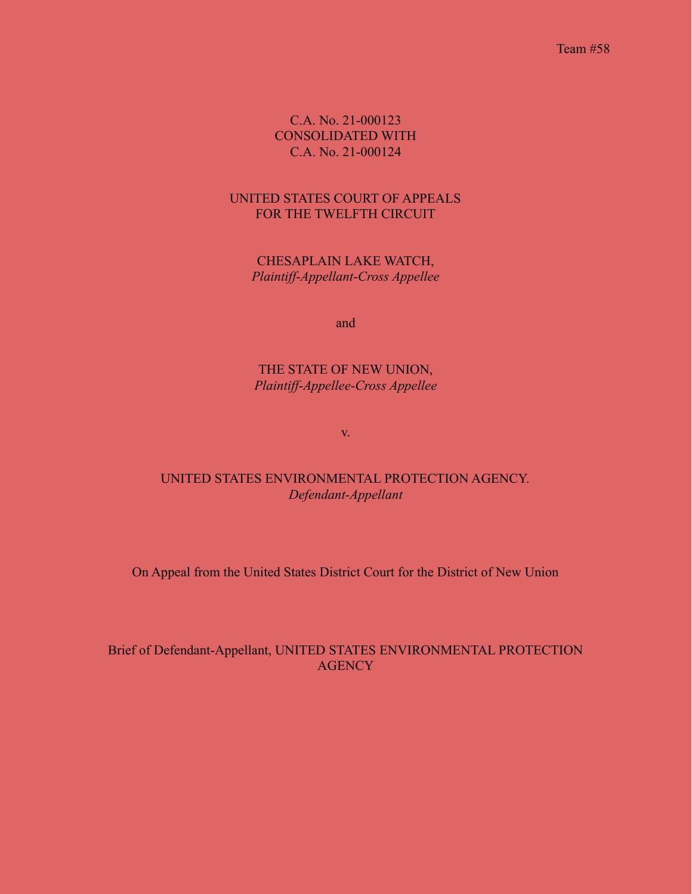Team #58

C.A. No. 21-000123 CONSOLIDATED WITH C.A. No. 21-000124

### UNITED STATES COURT OF APPEALS FOR THE TWELFTH CIRCUIT

CHESAPLAIN LAKE WATCH, *Plaintiff-Appellant-Cross Appellee*

and

THE STATE OF NEW UNION, *Plaintiff-Appellee-Cross Appellee*

v.

UNITED STATES ENVIRONMENTAL PROTECTION AGENCY. *Defendant-Appellant*

On Appeal from the United States District Court for the District of New Union

## Brief of Defendant-Appellant, UNITED STATES ENVIRONMENTAL PROTECTION **AGENCY**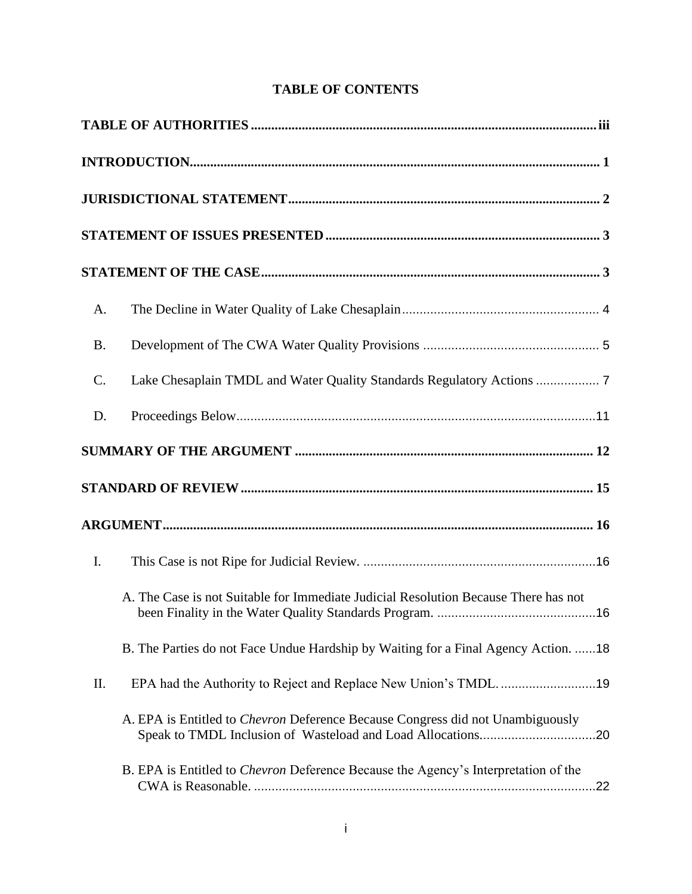# **TABLE OF CONTENTS**

| A.        |                                                                                           |  |  |  |  |
|-----------|-------------------------------------------------------------------------------------------|--|--|--|--|
| <b>B.</b> |                                                                                           |  |  |  |  |
| $C$ .     |                                                                                           |  |  |  |  |
| D.        |                                                                                           |  |  |  |  |
|           |                                                                                           |  |  |  |  |
|           |                                                                                           |  |  |  |  |
|           |                                                                                           |  |  |  |  |
| I.        |                                                                                           |  |  |  |  |
|           | A. The Case is not Suitable for Immediate Judicial Resolution Because There has not       |  |  |  |  |
|           | B. The Parties do not Face Undue Hardship by Waiting for a Final Agency Action. 18        |  |  |  |  |
| II.       |                                                                                           |  |  |  |  |
|           | A. EPA is Entitled to Chevron Deference Because Congress did not Unambiguously            |  |  |  |  |
|           | B. EPA is Entitled to <i>Chevron</i> Deference Because the Agency's Interpretation of the |  |  |  |  |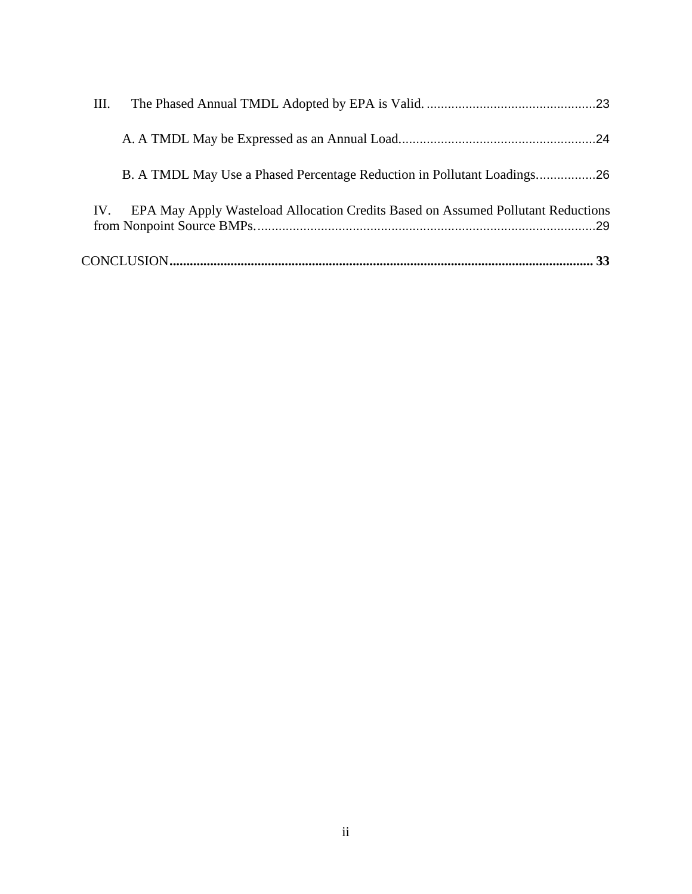| Ш.                                                                                      |
|-----------------------------------------------------------------------------------------|
|                                                                                         |
| B. A TMDL May Use a Phased Percentage Reduction in Pollutant Loadings26                 |
| EPA May Apply Wasteload Allocation Credits Based on Assumed Pollutant Reductions<br>IV. |
|                                                                                         |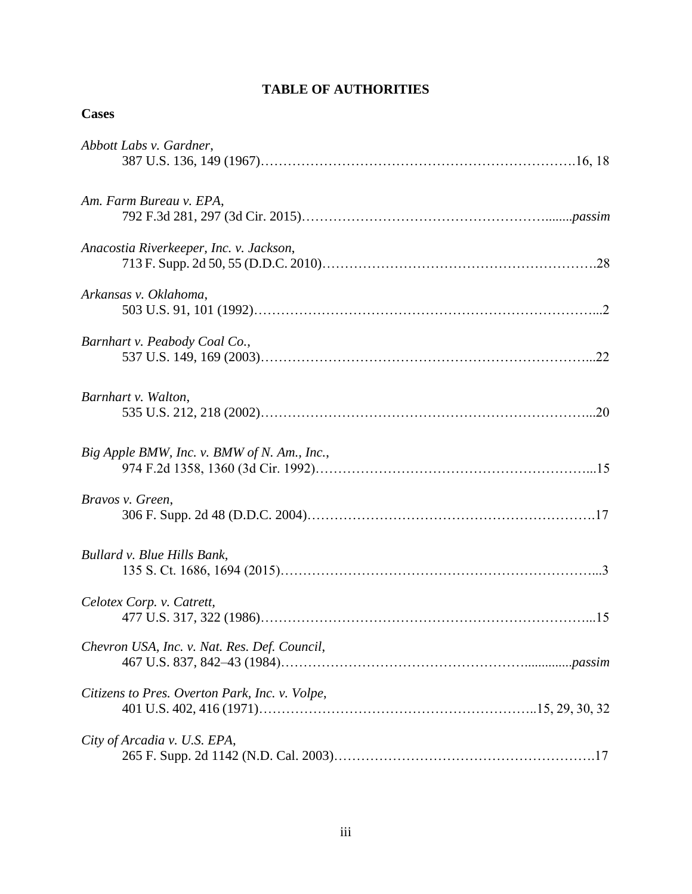# **TABLE OF AUTHORITIES**

## <span id="page-3-0"></span>**Cases**

| Abbott Labs v. Gardner,                        |
|------------------------------------------------|
| Am. Farm Bureau v. EPA,                        |
| Anacostia Riverkeeper, Inc. v. Jackson,        |
| Arkansas v. Oklahoma,                          |
| Barnhart v. Peabody Coal Co.,                  |
| Barnhart v. Walton,                            |
| Big Apple BMW, Inc. v. BMW of N. Am., Inc.,    |
| Bravos v. Green,                               |
| Bullard v. Blue Hills Bank,                    |
| Celotex Corp. v. Catrett,                      |
| Chevron USA, Inc. v. Nat. Res. Def. Council,   |
| Citizens to Pres. Overton Park, Inc. v. Volpe, |
| City of Arcadia v. U.S. EPA,                   |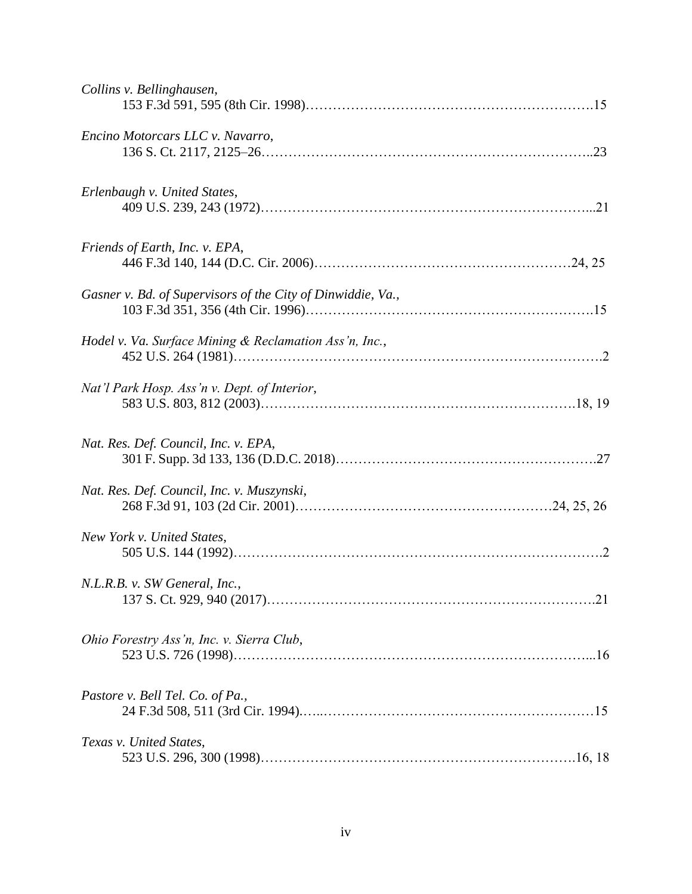| Collins v. Bellinghausen,                                   |  |
|-------------------------------------------------------------|--|
| Encino Motorcars LLC v. Navarro,                            |  |
| Erlenbaugh v. United States,                                |  |
| Friends of Earth, Inc. v. EPA,                              |  |
| Gasner v. Bd. of Supervisors of the City of Dinwiddie, Va., |  |
| Hodel v. Va. Surface Mining & Reclamation Ass'n, Inc.,      |  |
| Nat'l Park Hosp. Ass'n v. Dept. of Interior,                |  |
| Nat. Res. Def. Council, Inc. v. EPA,                        |  |
| Nat. Res. Def. Council, Inc. v. Muszynski,                  |  |
| New York v. United States,                                  |  |
| N.L.R.B. v. SW General, Inc.,                               |  |
| Ohio Forestry Ass'n, Inc. v. Sierra Club,                   |  |
| Pastore v. Bell Tel. Co. of Pa.,                            |  |
| Texas v. United States,                                     |  |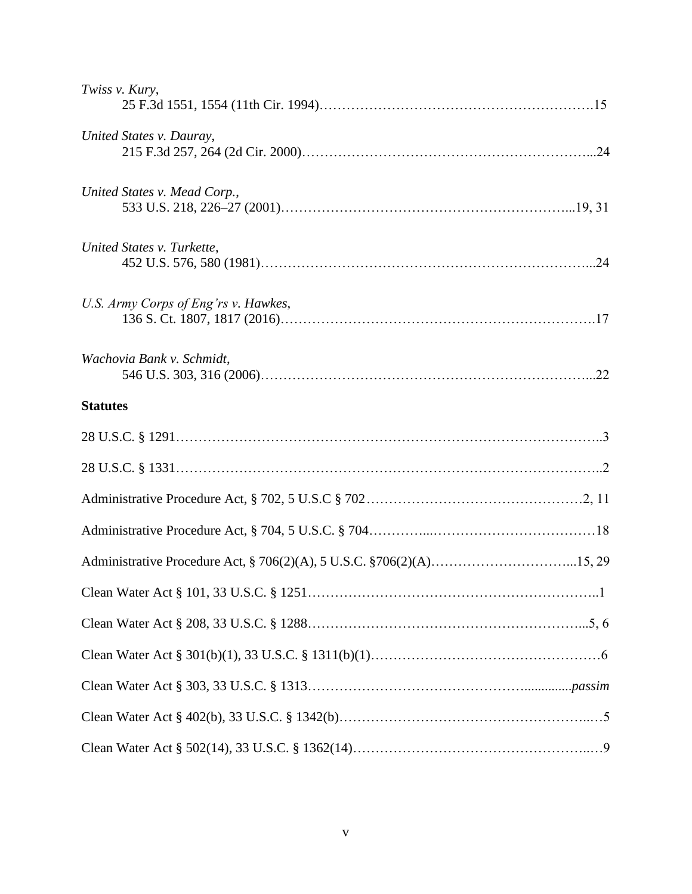| Twiss v. Kury,                                                        |  |
|-----------------------------------------------------------------------|--|
| United States v. Dauray,                                              |  |
| United States v. Mead Corp.,                                          |  |
| United States v. Turkette,                                            |  |
| U.S. Army Corps of Eng'rs v. Hawkes,                                  |  |
| Wachovia Bank v. Schmidt,                                             |  |
| <b>Statutes</b>                                                       |  |
|                                                                       |  |
|                                                                       |  |
|                                                                       |  |
|                                                                       |  |
| Administrative Procedure Act, § 706(2)(A), 5 U.S.C. § 706(2)(A)15, 29 |  |
|                                                                       |  |
|                                                                       |  |
|                                                                       |  |
|                                                                       |  |
|                                                                       |  |
|                                                                       |  |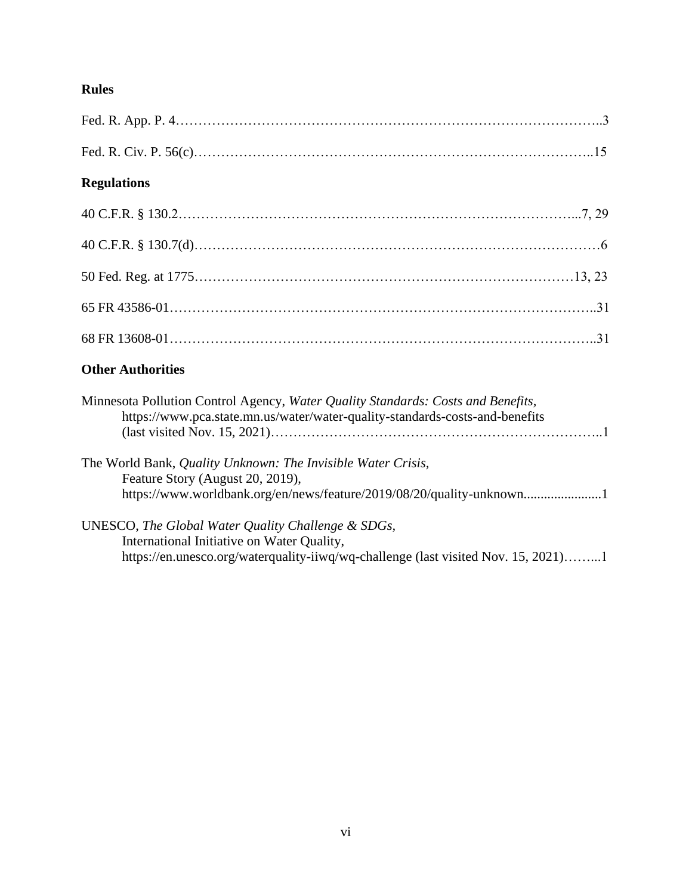# **Rules**

| <b>Regulations</b>                                                                                                                                                        |
|---------------------------------------------------------------------------------------------------------------------------------------------------------------------------|
|                                                                                                                                                                           |
|                                                                                                                                                                           |
|                                                                                                                                                                           |
|                                                                                                                                                                           |
|                                                                                                                                                                           |
| <b>Other Authorities</b>                                                                                                                                                  |
| Minnesota Pollution Control Agency, Water Quality Standards: Costs and Benefits,<br>https://www.pca.state.mn.us/water/water-quality-standards-costs-and-benefits          |
| The World Bank, Quality Unknown: The Invisible Water Crisis,<br>Feature Story (August 20, 2019),<br>https://www.worldbank.org/en/news/feature/2019/08/20/quality-unknown1 |
| UNESCO, The Global Water Quality Challenge & SDGs,                                                                                                                        |

International Initiative on Water Quality, https://en.unesco.org/waterquality-iiwq/wq-challenge (last visited Nov. 15, 2021)……...1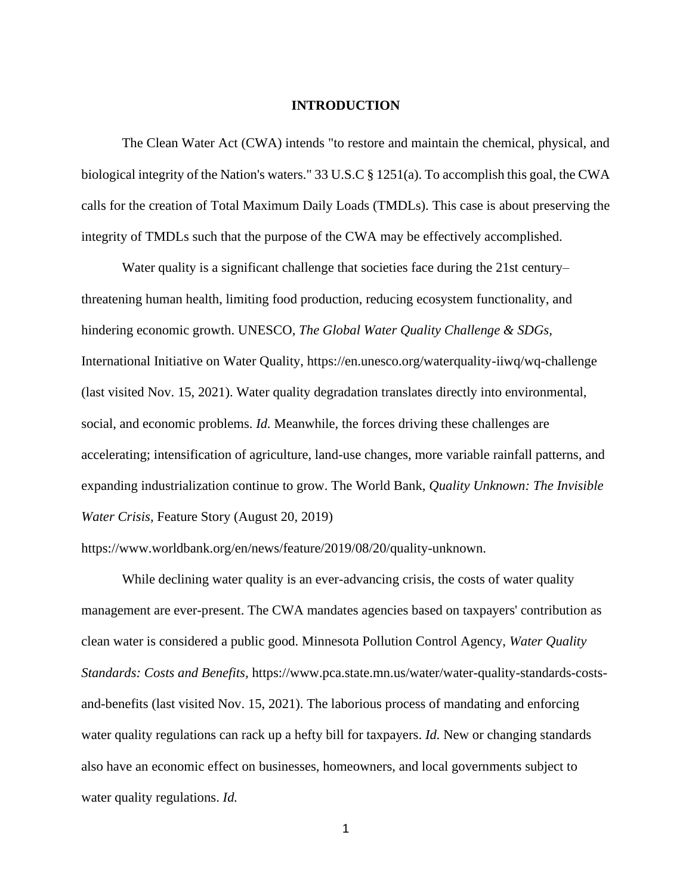#### **INTRODUCTION**

<span id="page-7-0"></span>The Clean Water Act (CWA) intends "to restore and maintain the chemical, physical, and biological integrity of the Nation's waters." 33 U.S.C § 1251(a). To accomplish this goal, the CWA calls for the creation of Total Maximum Daily Loads (TMDLs). This case is about preserving the integrity of TMDLs such that the purpose of the CWA may be effectively accomplished.

Water quality is a significant challenge that societies face during the 21st century– threatening human health, limiting food production, reducing ecosystem functionality, and hindering economic growth. UNESCO, *The Global Water Quality Challenge & SDGs,*  International Initiative on Water Quality, https://en.unesco.org/waterquality-iiwq/wq-challenge (last visited Nov. 15, 2021). Water quality degradation translates directly into environmental, social, and economic problems. *Id.* Meanwhile*,* the forces driving these challenges are accelerating; intensification of agriculture, land-use changes, more variable rainfall patterns, and expanding industrialization continue to grow. The World Bank, *Quality Unknown: The Invisible Water Crisis,* Feature Story (August 20, 2019)

https://www.worldbank.org/en/news/feature/2019/08/20/quality-unknown.

While declining water quality is an ever-advancing crisis, the costs of water quality management are ever-present. The CWA mandates agencies based on taxpayers' contribution as clean water is considered a public good. Minnesota Pollution Control Agency, *Water Quality Standards: Costs and Benefits,* https://www.pca.state.mn.us/water/water-quality-standards-costsand-benefits (last visited Nov. 15, 2021). The laborious process of mandating and enforcing water quality regulations can rack up a hefty bill for taxpayers. *Id.* New or changing standards also have an economic effect on businesses, homeowners, and local governments subject to water quality regulations. *Id.*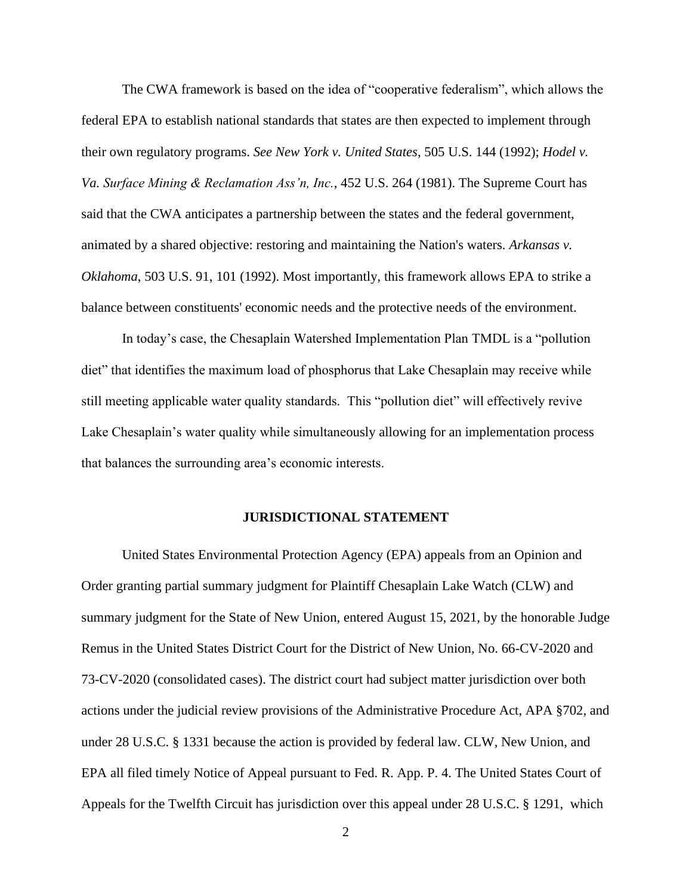The CWA framework is based on the idea of "cooperative federalism", which allows the federal EPA to establish national standards that states are then expected to implement through their own regulatory programs. *See New York v. United States*, 505 U.S. 144 (1992); *Hodel v. Va. Surface Mining & Reclamation Ass'n, Inc.*, 452 U.S. 264 (1981). The Supreme Court has said that the CWA anticipates a partnership between the states and the federal government, animated by a shared objective: restoring and maintaining the Nation's waters. *Arkansas v. Oklahoma*, 503 U.S. 91, 101 (1992). Most importantly, this framework allows EPA to strike a balance between constituents' economic needs and the protective needs of the environment.

In today's case, the Chesaplain Watershed Implementation Plan TMDL is a "pollution diet" that identifies the maximum load of phosphorus that Lake Chesaplain may receive while still meeting applicable water quality standards. This "pollution diet" will effectively revive Lake Chesaplain's water quality while simultaneously allowing for an implementation process that balances the surrounding area's economic interests.

#### **JURISDICTIONAL STATEMENT**

<span id="page-8-0"></span>United States Environmental Protection Agency (EPA) appeals from an Opinion and Order granting partial summary judgment for Plaintiff Chesaplain Lake Watch (CLW) and summary judgment for the State of New Union, entered August 15, 2021, by the honorable Judge Remus in the United States District Court for the District of New Union, No. 66-CV-2020 and 73-CV-2020 (consolidated cases). The district court had subject matter jurisdiction over both actions under the judicial review provisions of the Administrative Procedure Act, APA §702, and under 28 U.S.C. § 1331 because the action is provided by federal law. CLW, New Union, and EPA all filed timely Notice of Appeal pursuant to Fed. R. App. P. 4. The United States Court of Appeals for the Twelfth Circuit has jurisdiction over this appeal under 28 U.S.C. § 1291, which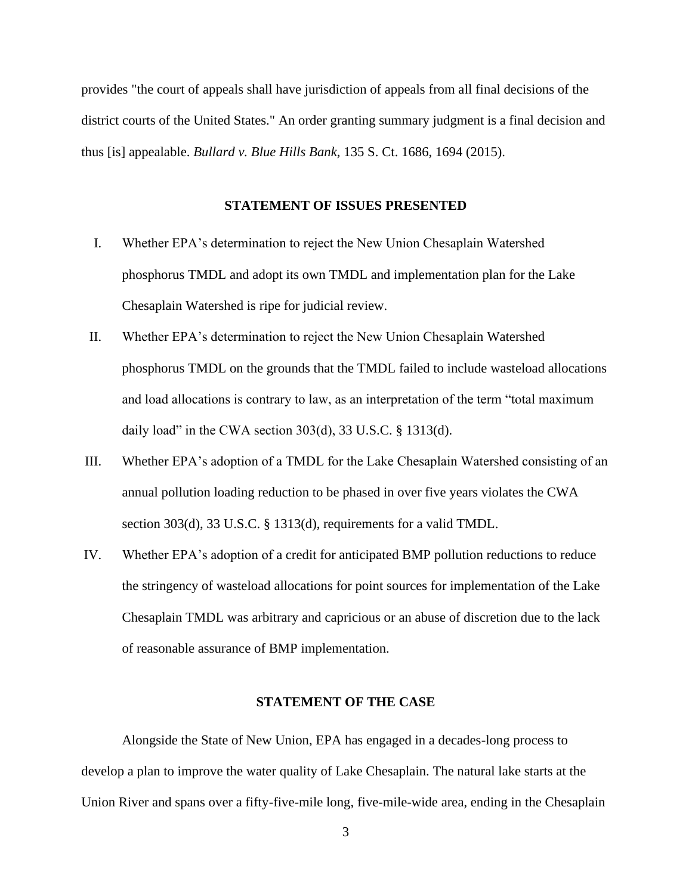provides "the court of appeals shall have jurisdiction of appeals from all final decisions of the district courts of the United States." An order granting summary judgment is a final decision and thus [is] appealable. *Bullard v. Blue Hills Bank*, 135 S. Ct. 1686, 1694 (2015).

#### **STATEMENT OF ISSUES PRESENTED**

- <span id="page-9-0"></span>I. Whether EPA's determination to reject the New Union Chesaplain Watershed phosphorus TMDL and adopt its own TMDL and implementation plan for the Lake Chesaplain Watershed is ripe for judicial review.
- II. Whether EPA's determination to reject the New Union Chesaplain Watershed phosphorus TMDL on the grounds that the TMDL failed to include wasteload allocations and load allocations is contrary to law, as an interpretation of the term "total maximum daily load" in the CWA section  $303(d)$ ,  $33 U.S.C.$  §  $1313(d)$ .
- III. Whether EPA's adoption of a TMDL for the Lake Chesaplain Watershed consisting of an annual pollution loading reduction to be phased in over five years violates the CWA section 303(d), 33 U.S.C. § 1313(d), requirements for a valid TMDL.
- IV. Whether EPA's adoption of a credit for anticipated BMP pollution reductions to reduce the stringency of wasteload allocations for point sources for implementation of the Lake Chesaplain TMDL was arbitrary and capricious or an abuse of discretion due to the lack of reasonable assurance of BMP implementation.

### **STATEMENT OF THE CASE**

<span id="page-9-1"></span>Alongside the State of New Union, EPA has engaged in a decades-long process to develop a plan to improve the water quality of Lake Chesaplain. The natural lake starts at the Union River and spans over a fifty-five-mile long, five-mile-wide area, ending in the Chesaplain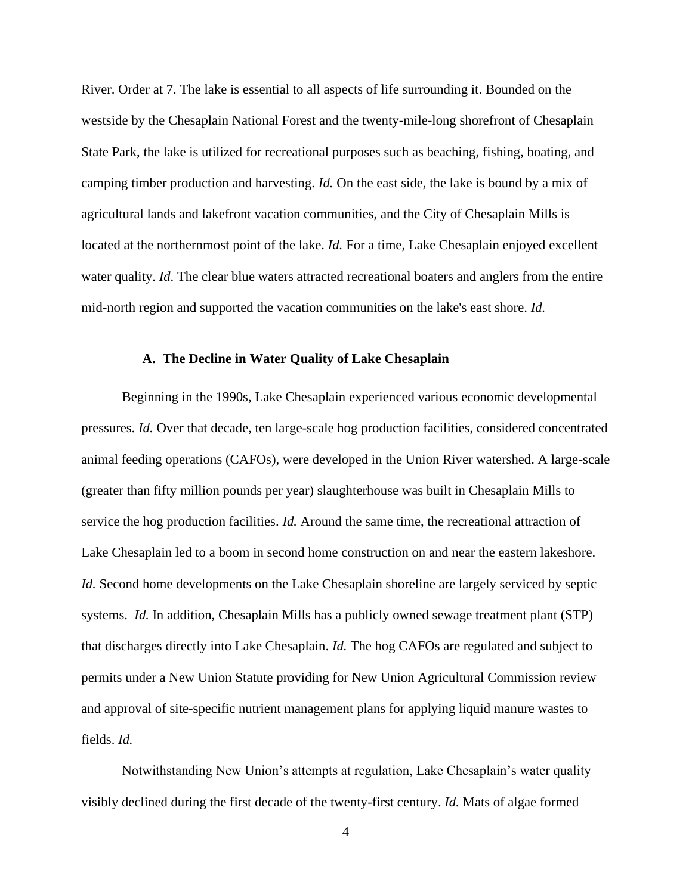River. Order at 7. The lake is essential to all aspects of life surrounding it. Bounded on the westside by the Chesaplain National Forest and the twenty-mile-long shorefront of Chesaplain State Park, the lake is utilized for recreational purposes such as beaching, fishing, boating, and camping timber production and harvesting. *Id.* On the east side, the lake is bound by a mix of agricultural lands and lakefront vacation communities, and the City of Chesaplain Mills is located at the northernmost point of the lake. *Id*. For a time, Lake Chesaplain enjoyed excellent water quality. *Id*. The clear blue waters attracted recreational boaters and anglers from the entire mid-north region and supported the vacation communities on the lake's east shore. *Id.*

#### **A. The Decline in Water Quality of Lake Chesaplain**

<span id="page-10-0"></span>Beginning in the 1990s, Lake Chesaplain experienced various economic developmental pressures. *Id.* Over that decade, ten large-scale hog production facilities, considered concentrated animal feeding operations (CAFOs), were developed in the Union River watershed. A large-scale (greater than fifty million pounds per year) slaughterhouse was built in Chesaplain Mills to service the hog production facilities. *Id.* Around the same time, the recreational attraction of Lake Chesaplain led to a boom in second home construction on and near the eastern lakeshore. *Id.* Second home developments on the Lake Chesaplain shoreline are largely serviced by septic systems. *Id.* In addition, Chesaplain Mills has a publicly owned sewage treatment plant (STP) that discharges directly into Lake Chesaplain. *Id.* The hog CAFOs are regulated and subject to permits under a New Union Statute providing for New Union Agricultural Commission review and approval of site-specific nutrient management plans for applying liquid manure wastes to fields. *Id.*

Notwithstanding New Union's attempts at regulation, Lake Chesaplain's water quality visibly declined during the first decade of the twenty-first century. *Id.* Mats of algae formed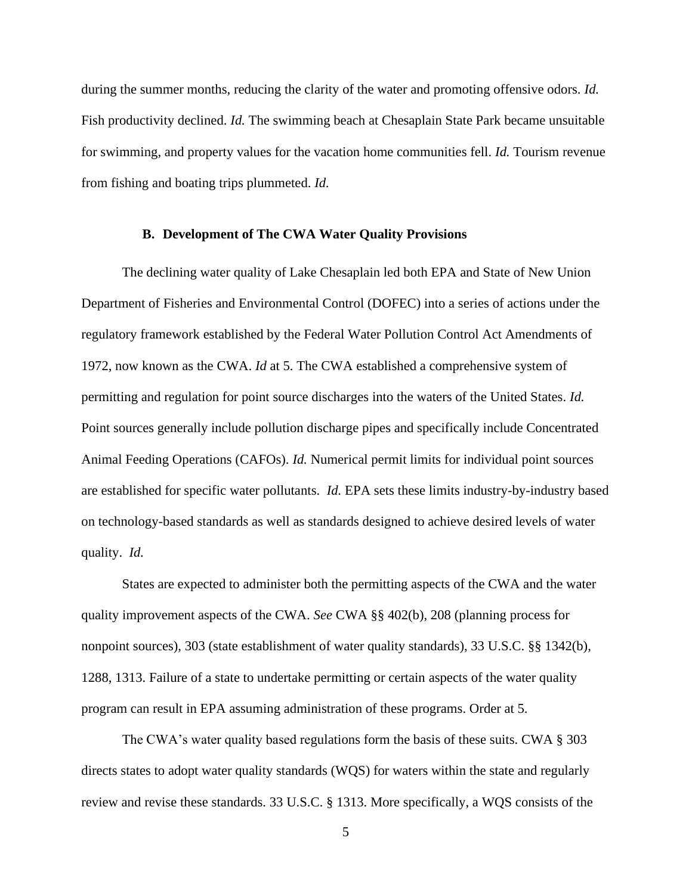during the summer months, reducing the clarity of the water and promoting offensive odors. *Id.* Fish productivity declined. *Id.* The swimming beach at Chesaplain State Park became unsuitable for swimming, and property values for the vacation home communities fell. *Id.* Tourism revenue from fishing and boating trips plummeted. *Id.*

#### **B. Development of The CWA Water Quality Provisions**

<span id="page-11-0"></span>The declining water quality of Lake Chesaplain led both EPA and State of New Union Department of Fisheries and Environmental Control (DOFEC) into a series of actions under the regulatory framework established by the Federal Water Pollution Control Act Amendments of 1972, now known as the CWA. *Id* at 5. The CWA established a comprehensive system of permitting and regulation for point source discharges into the waters of the United States. *Id.*  Point sources generally include pollution discharge pipes and specifically include Concentrated Animal Feeding Operations (CAFOs). *Id.* Numerical permit limits for individual point sources are established for specific water pollutants. *Id.* EPA sets these limits industry-by-industry based on technology-based standards as well as standards designed to achieve desired levels of water quality. *Id.*

States are expected to administer both the permitting aspects of the CWA and the water quality improvement aspects of the CWA. *See* CWA §§ 402(b), 208 (planning process for nonpoint sources), 303 (state establishment of water quality standards), 33 U.S.C. §§ 1342(b), 1288, 1313. Failure of a state to undertake permitting or certain aspects of the water quality program can result in EPA assuming administration of these programs. Order at 5.

The CWA's water quality based regulations form the basis of these suits. CWA § 303 directs states to adopt water quality standards (WQS) for waters within the state and regularly review and revise these standards. 33 U.S.C. § 1313. More specifically, a WQS consists of the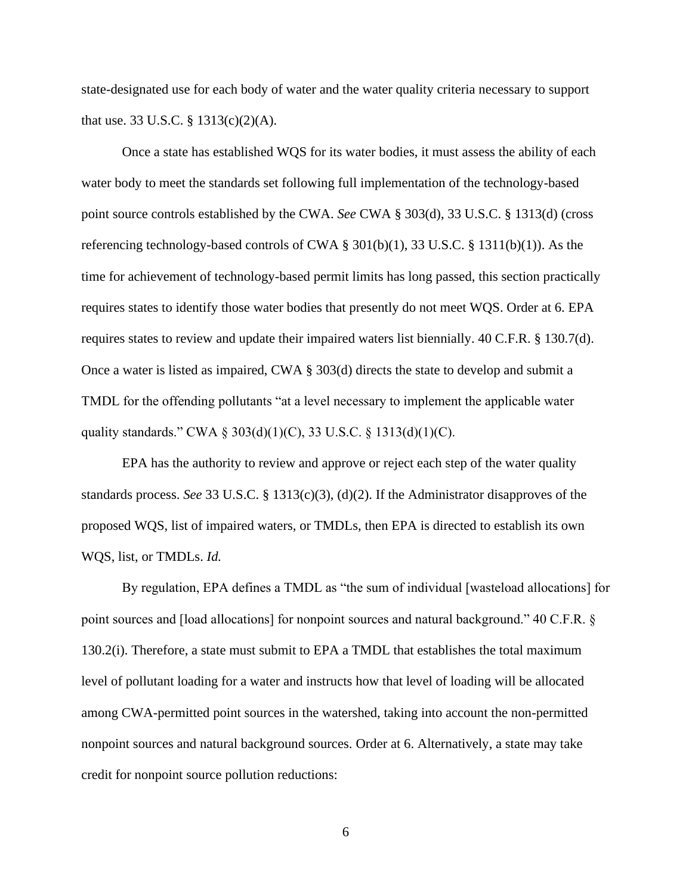state-designated use for each body of water and the water quality criteria necessary to support that use. 33 U.S.C. § 1313(c)(2)(A).

Once a state has established WQS for its water bodies, it must assess the ability of each water body to meet the standards set following full implementation of the technology-based point source controls established by the CWA. *See* CWA § 303(d), 33 U.S.C. § 1313(d) (cross referencing technology-based controls of CWA  $\S$  301(b)(1), 33 U.S.C.  $\S$  1311(b)(1)). As the time for achievement of technology-based permit limits has long passed, this section practically requires states to identify those water bodies that presently do not meet WQS. Order at 6. EPA requires states to review and update their impaired waters list biennially. 40 C.F.R. § 130.7(d). Once a water is listed as impaired, CWA § 303(d) directs the state to develop and submit a TMDL for the offending pollutants "at a level necessary to implement the applicable water quality standards." CWA § 303(d)(1)(C), 33 U.S.C. § 1313(d)(1)(C).

EPA has the authority to review and approve or reject each step of the water quality standards process. *See* 33 U.S.C. § 1313(c)(3), (d)(2). If the Administrator disapproves of the proposed WQS, list of impaired waters, or TMDLs, then EPA is directed to establish its own WQS, list, or TMDLs. *Id.* 

By regulation, EPA defines a TMDL as "the sum of individual [wasteload allocations] for point sources and [load allocations] for nonpoint sources and natural background." 40 C.F.R. § 130.2(i). Therefore, a state must submit to EPA a TMDL that establishes the total maximum level of pollutant loading for a water and instructs how that level of loading will be allocated among CWA-permitted point sources in the watershed, taking into account the non-permitted nonpoint sources and natural background sources. Order at 6. Alternatively, a state may take credit for nonpoint source pollution reductions: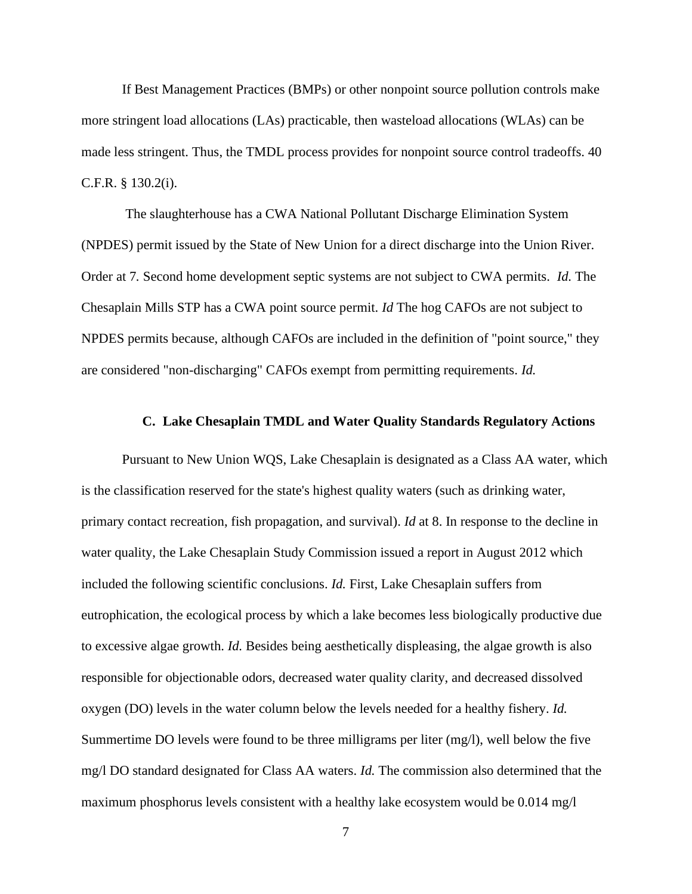If Best Management Practices (BMPs) or other nonpoint source pollution controls make more stringent load allocations (LAs) practicable, then wasteload allocations (WLAs) can be made less stringent. Thus, the TMDL process provides for nonpoint source control tradeoffs. 40 C.F.R. § 130.2(i).

The slaughterhouse has a CWA National Pollutant Discharge Elimination System (NPDES) permit issued by the State of New Union for a direct discharge into the Union River. Order at 7*.* Second home development septic systems are not subject to CWA permits. *Id.* The Chesaplain Mills STP has a CWA point source permit. *Id* The hog CAFOs are not subject to NPDES permits because, although CAFOs are included in the definition of "point source," they are considered "non-discharging" CAFOs exempt from permitting requirements. *Id.*

#### **C. Lake Chesaplain TMDL and Water Quality Standards Regulatory Actions**

<span id="page-13-0"></span>Pursuant to New Union WQS, Lake Chesaplain is designated as a Class AA water, which is the classification reserved for the state's highest quality waters (such as drinking water, primary contact recreation, fish propagation, and survival). *Id* at 8. In response to the decline in water quality, the Lake Chesaplain Study Commission issued a report in August 2012 which included the following scientific conclusions. *Id.* First, Lake Chesaplain suffers from eutrophication, the ecological process by which a lake becomes less biologically productive due to excessive algae growth. *Id.* Besides being aesthetically displeasing, the algae growth is also responsible for objectionable odors, decreased water quality clarity, and decreased dissolved oxygen (DO) levels in the water column below the levels needed for a healthy fishery. *Id.*  Summertime DO levels were found to be three milligrams per liter (mg/l), well below the five mg/l DO standard designated for Class AA waters. *Id.* The commission also determined that the maximum phosphorus levels consistent with a healthy lake ecosystem would be 0.014 mg/l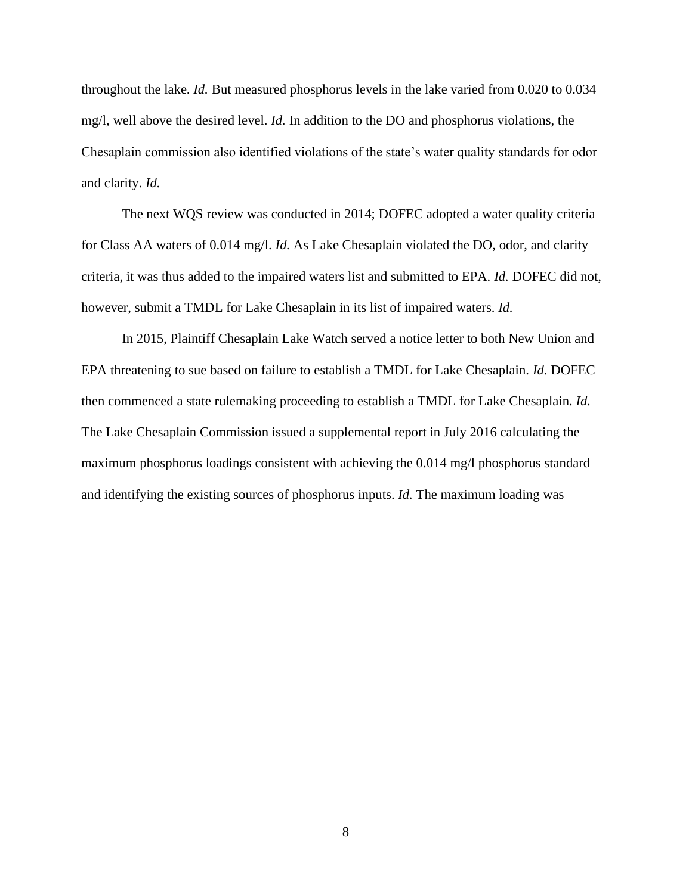throughout the lake. *Id.* But measured phosphorus levels in the lake varied from 0.020 to 0.034 mg/l, well above the desired level. *Id.* In addition to the DO and phosphorus violations, the Chesaplain commission also identified violations of the state's water quality standards for odor and clarity. *Id.*

The next WQS review was conducted in 2014; DOFEC adopted a water quality criteria for Class AA waters of 0.014 mg/l. *Id.* As Lake Chesaplain violated the DO, odor, and clarity criteria, it was thus added to the impaired waters list and submitted to EPA. *Id.* DOFEC did not, however, submit a TMDL for Lake Chesaplain in its list of impaired waters. *Id.*

In 2015, Plaintiff Chesaplain Lake Watch served a notice letter to both New Union and EPA threatening to sue based on failure to establish a TMDL for Lake Chesaplain. *Id.* DOFEC then commenced a state rulemaking proceeding to establish a TMDL for Lake Chesaplain. *Id.*  The Lake Chesaplain Commission issued a supplemental report in July 2016 calculating the maximum phosphorus loadings consistent with achieving the 0.014 mg/l phosphorus standard and identifying the existing sources of phosphorus inputs. *Id.* The maximum loading was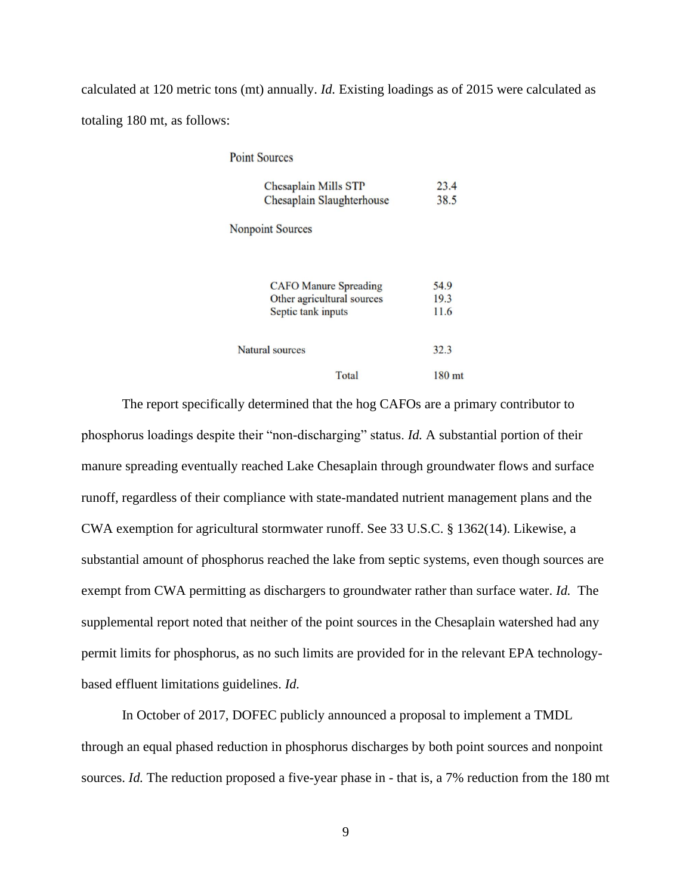calculated at 120 metric tons (mt) annually. *Id.* Existing loadings as of 2015 were calculated as totaling 180 mt, as follows:

**Point Sources** 

| Chesaplain Mills STP      | 23.4 |
|---------------------------|------|
| Chesaplain Slaughterhouse | 38.5 |

**Nonpoint Sources** 

| <b>CAFO</b> Manure Spreading |       | 54.9              |
|------------------------------|-------|-------------------|
| Other agricultural sources   |       | 19.3              |
| Septic tank inputs           |       | 11.6              |
| Natural sources              |       | 32.3              |
|                              | Total | 180 <sub>mt</sub> |

The report specifically determined that the hog CAFOs are a primary contributor to phosphorus loadings despite their "non-discharging" status. *Id.* A substantial portion of their manure spreading eventually reached Lake Chesaplain through groundwater flows and surface runoff, regardless of their compliance with state-mandated nutrient management plans and the CWA exemption for agricultural stormwater runoff. See 33 U.S.C. § 1362(14). Likewise, a substantial amount of phosphorus reached the lake from septic systems, even though sources are exempt from CWA permitting as dischargers to groundwater rather than surface water. *Id.* The supplemental report noted that neither of the point sources in the Chesaplain watershed had any permit limits for phosphorus, as no such limits are provided for in the relevant EPA technologybased effluent limitations guidelines. *Id.*

In October of 2017, DOFEC publicly announced a proposal to implement a TMDL through an equal phased reduction in phosphorus discharges by both point sources and nonpoint sources. *Id.* The reduction proposed a five-year phase in - that is, a 7% reduction from the 180 mt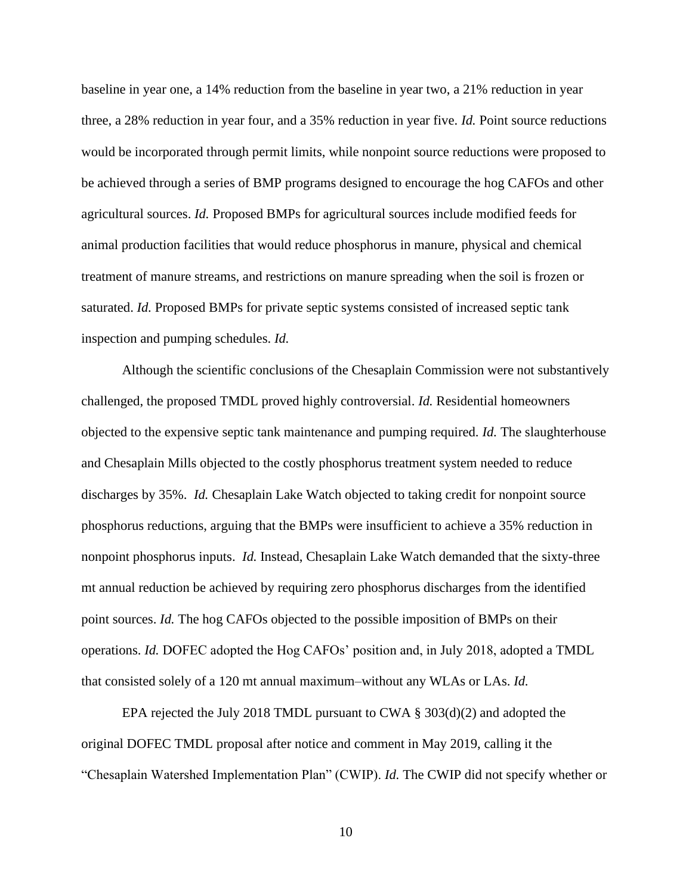baseline in year one, a 14% reduction from the baseline in year two, a 21% reduction in year three, a 28% reduction in year four, and a 35% reduction in year five. *Id.* Point source reductions would be incorporated through permit limits, while nonpoint source reductions were proposed to be achieved through a series of BMP programs designed to encourage the hog CAFOs and other agricultural sources. *Id.* Proposed BMPs for agricultural sources include modified feeds for animal production facilities that would reduce phosphorus in manure, physical and chemical treatment of manure streams, and restrictions on manure spreading when the soil is frozen or saturated. *Id.* Proposed BMPs for private septic systems consisted of increased septic tank inspection and pumping schedules. *Id.*

Although the scientific conclusions of the Chesaplain Commission were not substantively challenged, the proposed TMDL proved highly controversial. *Id.* Residential homeowners objected to the expensive septic tank maintenance and pumping required. *Id.* The slaughterhouse and Chesaplain Mills objected to the costly phosphorus treatment system needed to reduce discharges by 35%. *Id.* Chesaplain Lake Watch objected to taking credit for nonpoint source phosphorus reductions, arguing that the BMPs were insufficient to achieve a 35% reduction in nonpoint phosphorus inputs. *Id.* Instead, Chesaplain Lake Watch demanded that the sixty-three mt annual reduction be achieved by requiring zero phosphorus discharges from the identified point sources. *Id.* The hog CAFOs objected to the possible imposition of BMPs on their operations. *Id.* DOFEC adopted the Hog CAFOs' position and, in July 2018, adopted a TMDL that consisted solely of a 120 mt annual maximum–without any WLAs or LAs. *Id.*

EPA rejected the July 2018 TMDL pursuant to CWA  $\S$  303(d)(2) and adopted the original DOFEC TMDL proposal after notice and comment in May 2019, calling it the "Chesaplain Watershed Implementation Plan" (CWIP). *Id.* The CWIP did not specify whether or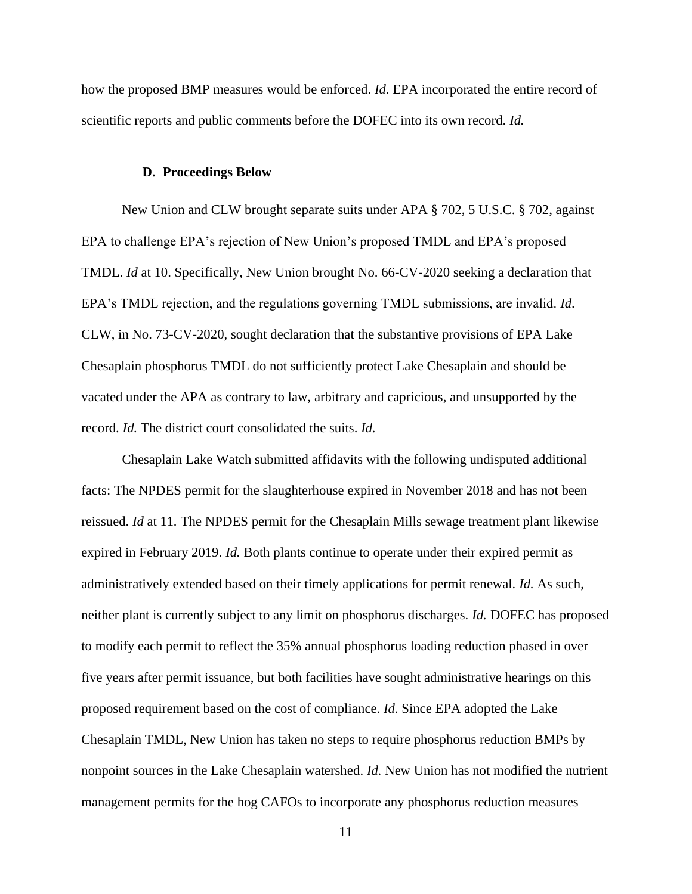<span id="page-17-0"></span>how the proposed BMP measures would be enforced. *Id.* EPA incorporated the entire record of scientific reports and public comments before the DOFEC into its own record. *Id.*

#### **D. Proceedings Below**

New Union and CLW brought separate suits under APA § 702, 5 U.S.C. § 702, against EPA to challenge EPA's rejection of New Union's proposed TMDL and EPA's proposed TMDL. *Id* at 10. Specifically, New Union brought No. 66-CV-2020 seeking a declaration that EPA's TMDL rejection, and the regulations governing TMDL submissions, are invalid. *Id*. CLW, in No. 73-CV-2020, sought declaration that the substantive provisions of EPA Lake Chesaplain phosphorus TMDL do not sufficiently protect Lake Chesaplain and should be vacated under the APA as contrary to law, arbitrary and capricious, and unsupported by the record. *Id.* The district court consolidated the suits. *Id.*

Chesaplain Lake Watch submitted affidavits with the following undisputed additional facts: The NPDES permit for the slaughterhouse expired in November 2018 and has not been reissued. *Id* at 11*.* The NPDES permit for the Chesaplain Mills sewage treatment plant likewise expired in February 2019. *Id.* Both plants continue to operate under their expired permit as administratively extended based on their timely applications for permit renewal. *Id.* As such, neither plant is currently subject to any limit on phosphorus discharges. *Id.* DOFEC has proposed to modify each permit to reflect the 35% annual phosphorus loading reduction phased in over five years after permit issuance, but both facilities have sought administrative hearings on this proposed requirement based on the cost of compliance. *Id.* Since EPA adopted the Lake Chesaplain TMDL, New Union has taken no steps to require phosphorus reduction BMPs by nonpoint sources in the Lake Chesaplain watershed. *Id.* New Union has not modified the nutrient management permits for the hog CAFOs to incorporate any phosphorus reduction measures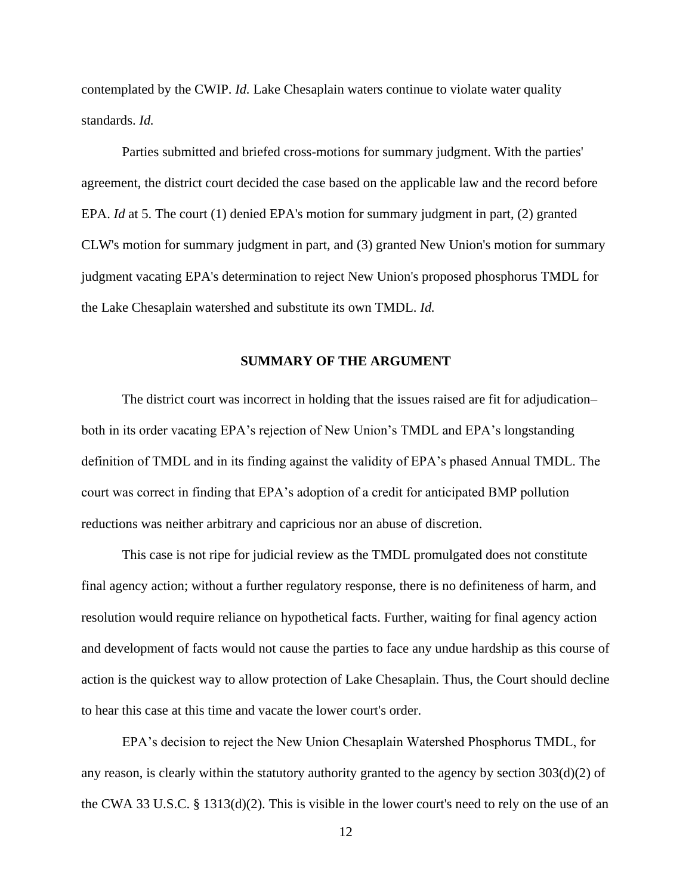contemplated by the CWIP. *Id.* Lake Chesaplain waters continue to violate water quality standards. *Id.*

Parties submitted and briefed cross-motions for summary judgment. With the parties' agreement, the district court decided the case based on the applicable law and the record before EPA. *Id* at 5. The court (1) denied EPA's motion for summary judgment in part, (2) granted CLW's motion for summary judgment in part, and (3) granted New Union's motion for summary judgment vacating EPA's determination to reject New Union's proposed phosphorus TMDL for the Lake Chesaplain watershed and substitute its own TMDL. *Id.*

#### **SUMMARY OF THE ARGUMENT**

<span id="page-18-0"></span>The district court was incorrect in holding that the issues raised are fit for adjudication– both in its order vacating EPA's rejection of New Union's TMDL and EPA's longstanding definition of TMDL and in its finding against the validity of EPA's phased Annual TMDL. The court was correct in finding that EPA's adoption of a credit for anticipated BMP pollution reductions was neither arbitrary and capricious nor an abuse of discretion.

This case is not ripe for judicial review as the TMDL promulgated does not constitute final agency action; without a further regulatory response, there is no definiteness of harm, and resolution would require reliance on hypothetical facts. Further, waiting for final agency action and development of facts would not cause the parties to face any undue hardship as this course of action is the quickest way to allow protection of Lake Chesaplain. Thus, the Court should decline to hear this case at this time and vacate the lower court's order.

EPA's decision to reject the New Union Chesaplain Watershed Phosphorus TMDL, for any reason, is clearly within the statutory authority granted to the agency by section 303(d)(2) of the CWA 33 U.S.C. § 1313(d)(2). This is visible in the lower court's need to rely on the use of an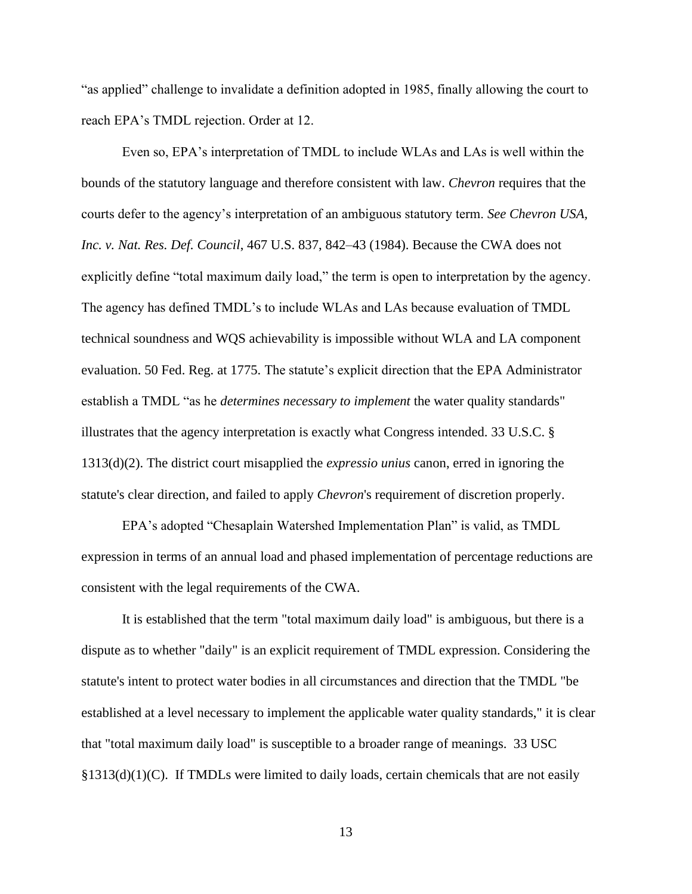"as applied" challenge to invalidate a definition adopted in 1985, finally allowing the court to reach EPA's TMDL rejection. Order at 12.

Even so, EPA's interpretation of TMDL to include WLAs and LAs is well within the bounds of the statutory language and therefore consistent with law. *Chevron* requires that the courts defer to the agency's interpretation of an ambiguous statutory term. *See Chevron USA, Inc. v. Nat. Res. Def. Council*, 467 U.S. 837, 842–43 (1984). Because the CWA does not explicitly define "total maximum daily load," the term is open to interpretation by the agency. The agency has defined TMDL's to include WLAs and LAs because evaluation of TMDL technical soundness and WQS achievability is impossible without WLA and LA component evaluation. 50 Fed. Reg. at 1775. The statute's explicit direction that the EPA Administrator establish a TMDL "as he *determines necessary to implement* the water quality standards" illustrates that the agency interpretation is exactly what Congress intended. 33 U.S.C. § 1313(d)(2). The district court misapplied the *expressio unius* canon, erred in ignoring the statute's clear direction, and failed to apply *Chevron*'s requirement of discretion properly.

EPA's adopted "Chesaplain Watershed Implementation Plan" is valid, as TMDL expression in terms of an annual load and phased implementation of percentage reductions are consistent with the legal requirements of the CWA.

It is established that the term "total maximum daily load" is ambiguous, but there is a dispute as to whether "daily" is an explicit requirement of TMDL expression. Considering the statute's intent to protect water bodies in all circumstances and direction that the TMDL "be established at a level necessary to implement the applicable water quality standards," it is clear that "total maximum daily load" is susceptible to a broader range of meanings. 33 USC §1313(d)(1)(C). If TMDLs were limited to daily loads, certain chemicals that are not easily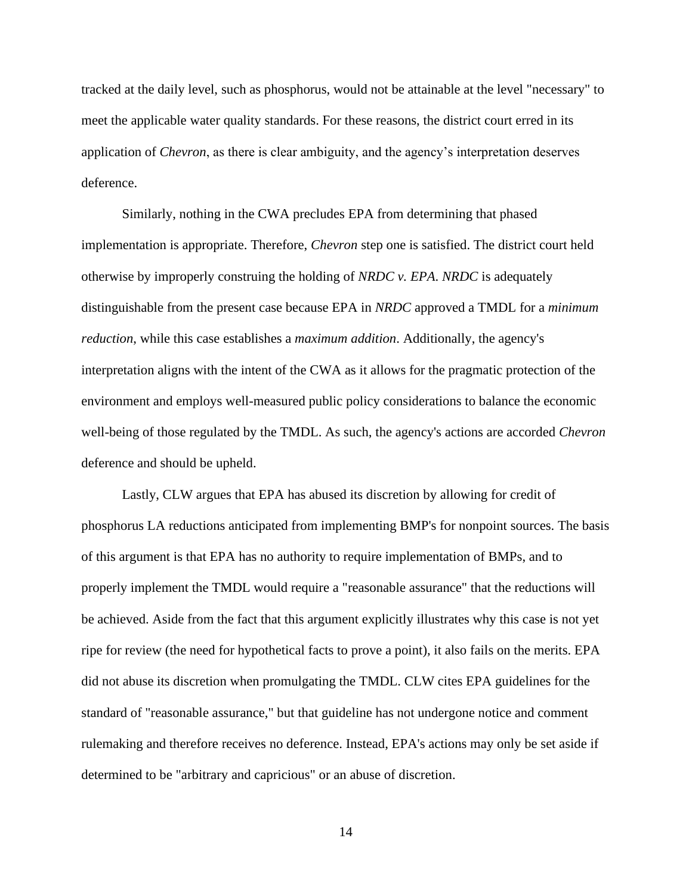tracked at the daily level, such as phosphorus, would not be attainable at the level "necessary" to meet the applicable water quality standards. For these reasons, the district court erred in its application of *Chevron*, as there is clear ambiguity, and the agency's interpretation deserves deference.

Similarly, nothing in the CWA precludes EPA from determining that phased implementation is appropriate. Therefore, *Chevron* step one is satisfied. The district court held otherwise by improperly construing the holding of *NRDC v. EPA*. *NRDC* is adequately distinguishable from the present case because EPA in *NRDC* approved a TMDL for a *minimum reduction*, while this case establishes a *maximum addition*. Additionally, the agency's interpretation aligns with the intent of the CWA as it allows for the pragmatic protection of the environment and employs well-measured public policy considerations to balance the economic well-being of those regulated by the TMDL. As such, the agency's actions are accorded *Chevron*  deference and should be upheld.

Lastly, CLW argues that EPA has abused its discretion by allowing for credit of phosphorus LA reductions anticipated from implementing BMP's for nonpoint sources. The basis of this argument is that EPA has no authority to require implementation of BMPs, and to properly implement the TMDL would require a "reasonable assurance" that the reductions will be achieved. Aside from the fact that this argument explicitly illustrates why this case is not yet ripe for review (the need for hypothetical facts to prove a point), it also fails on the merits. EPA did not abuse its discretion when promulgating the TMDL. CLW cites EPA guidelines for the standard of "reasonable assurance," but that guideline has not undergone notice and comment rulemaking and therefore receives no deference. Instead, EPA's actions may only be set aside if determined to be "arbitrary and capricious" or an abuse of discretion.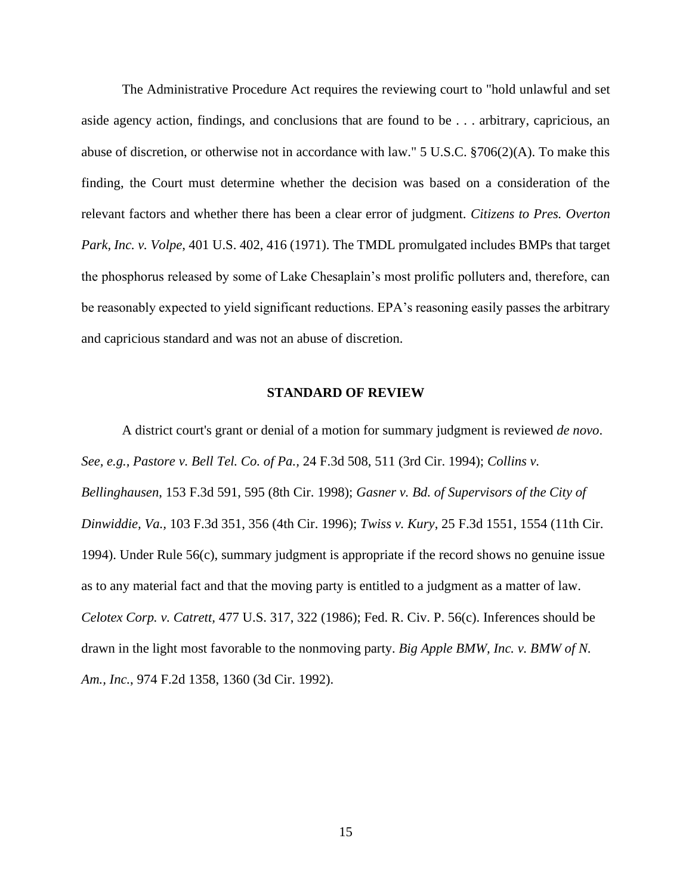The Administrative Procedure Act requires the reviewing court to "hold unlawful and set aside agency action, findings, and conclusions that are found to be . . . arbitrary, capricious, an abuse of discretion, or otherwise not in accordance with law." 5 U.S.C. §706(2)(A). To make this finding, the Court must determine whether the decision was based on a consideration of the relevant factors and whether there has been a clear error of judgment. *Citizens to Pres. Overton Park, Inc. v. Volpe*, 401 U.S. 402, 416 (1971). The TMDL promulgated includes BMPs that target the phosphorus released by some of Lake Chesaplain's most prolific polluters and, therefore, can be reasonably expected to yield significant reductions. EPA's reasoning easily passes the arbitrary and capricious standard and was not an abuse of discretion.

#### **STANDARD OF REVIEW**

<span id="page-21-0"></span>A district court's grant or denial of a motion for summary judgment is reviewed *de novo*. *See, e.g., Pastore v. Bell Tel. Co. of Pa.,* 24 F.3d 508, 511 (3rd Cir. 1994); *Collins v. Bellinghausen*, 153 F.3d 591, 595 (8th Cir. 1998); *Gasner v. Bd. of Supervisors of the City of Dinwiddie, Va.,* 103 F.3d 351, 356 (4th Cir. 1996); *Twiss v. Kury*, 25 F.3d 1551, 1554 (11th Cir. 1994). Under Rule 56(c), summary judgment is appropriate if the record shows no genuine issue as to any material fact and that the moving party is entitled to a judgment as a matter of law. *Celotex Corp. v. Catrett,* 477 U.S. 317, 322 (1986); Fed. R. Civ. P. 56(c). Inferences should be drawn in the light most favorable to the nonmoving party. *Big Apple BMW, Inc. v. BMW of N. Am., Inc.*, 974 F.2d 1358, 1360 (3d Cir. 1992).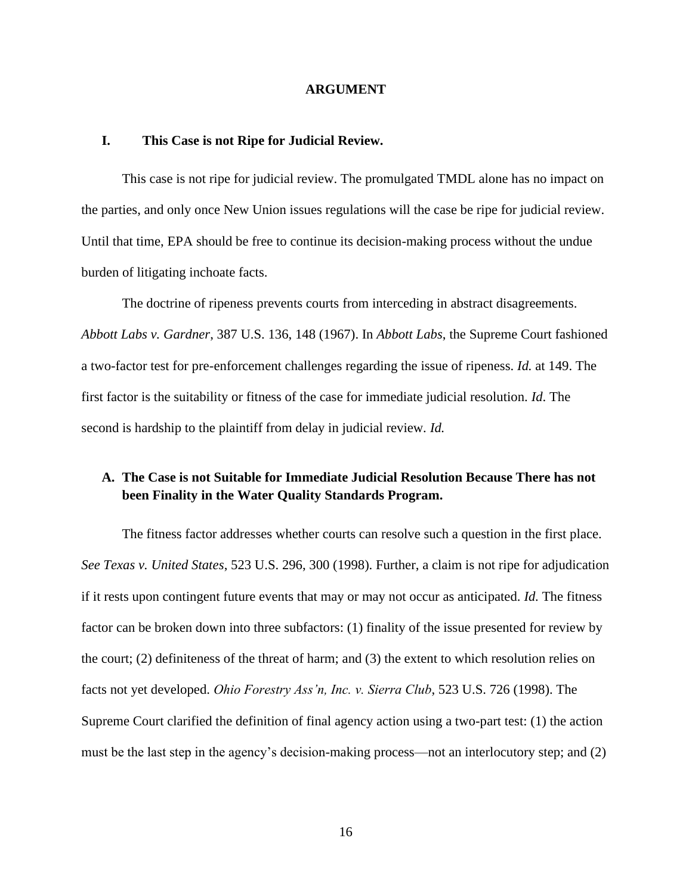#### **ARGUMENT**

#### <span id="page-22-1"></span><span id="page-22-0"></span>**I. This Case is not Ripe for Judicial Review.**

This case is not ripe for judicial review. The promulgated TMDL alone has no impact on the parties, and only once New Union issues regulations will the case be ripe for judicial review. Until that time, EPA should be free to continue its decision-making process without the undue burden of litigating inchoate facts.

The doctrine of ripeness prevents courts from interceding in abstract disagreements. *Abbott Labs v. Gardner*, 387 U.S. 136, 148 (1967). In *Abbott Labs*, the Supreme Court fashioned a two-factor test for pre-enforcement challenges regarding the issue of ripeness. *Id.* at 149. The first factor is the suitability or fitness of the case for immediate judicial resolution. *Id*. The second is hardship to the plaintiff from delay in judicial review. *Id.*

## <span id="page-22-2"></span>**A. The Case is not Suitable for Immediate Judicial Resolution Because There has not been Finality in the Water Quality Standards Program.**

The fitness factor addresses whether courts can resolve such a question in the first place. *See Texas v. United States*, 523 U.S. 296, 300 (1998). Further, a claim is not ripe for adjudication if it rests upon contingent future events that may or may not occur as anticipated. *Id.* The fitness factor can be broken down into three subfactors: (1) finality of the issue presented for review by the court; (2) definiteness of the threat of harm; and (3) the extent to which resolution relies on facts not yet developed. *Ohio Forestry Ass'n, Inc. v. Sierra Club*, 523 U.S. 726 (1998). The Supreme Court clarified the definition of final agency action using a two-part test: (1) the action must be the last step in the agency's decision-making process—not an interlocutory step; and (2)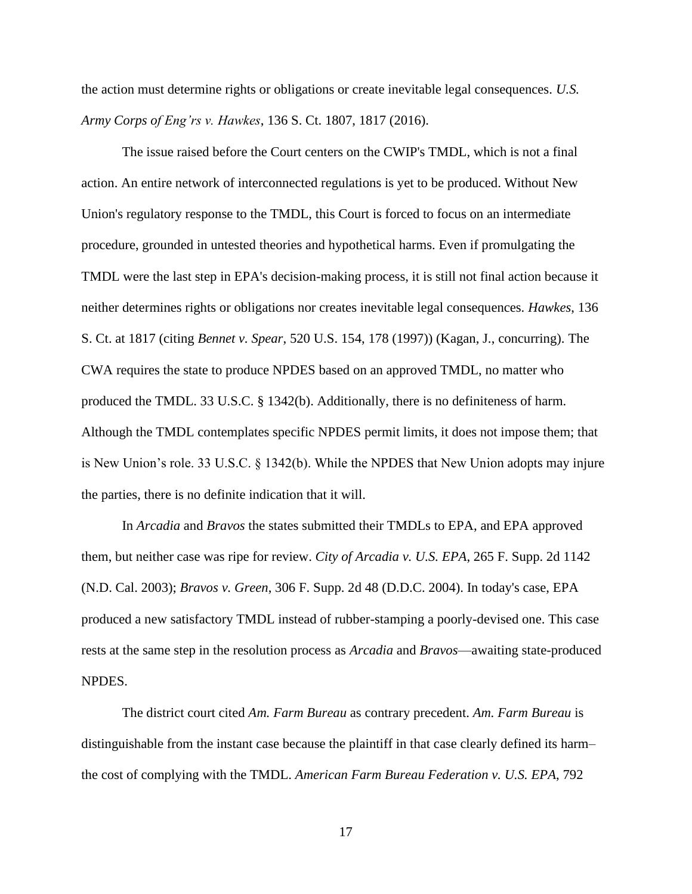the action must determine rights or obligations or create inevitable legal consequences. *U.S. Army Corps of Eng'rs v. Hawkes*, 136 S. Ct. 1807, 1817 (2016).

The issue raised before the Court centers on the CWIP's TMDL, which is not a final action. An entire network of interconnected regulations is yet to be produced. Without New Union's regulatory response to the TMDL, this Court is forced to focus on an intermediate procedure, grounded in untested theories and hypothetical harms. Even if promulgating the TMDL were the last step in EPA's decision-making process, it is still not final action because it neither determines rights or obligations nor creates inevitable legal consequences. *Hawkes*, 136 S. Ct. at 1817 (citing *Bennet v. Spear*, 520 U.S. 154, 178 (1997)) (Kagan, J., concurring). The CWA requires the state to produce NPDES based on an approved TMDL, no matter who produced the TMDL. 33 U.S.C. § 1342(b). Additionally, there is no definiteness of harm. Although the TMDL contemplates specific NPDES permit limits, it does not impose them; that is New Union's role. 33 U.S.C. § 1342(b). While the NPDES that New Union adopts may injure the parties, there is no definite indication that it will.

In *Arcadia* and *Bravos* the states submitted their TMDLs to EPA, and EPA approved them, but neither case was ripe for review. *City of Arcadia v. U.S. EPA*, 265 F. Supp. 2d 1142 (N.D. Cal. 2003); *Bravos v. Green*, 306 F. Supp. 2d 48 (D.D.C. 2004). In today's case, EPA produced a new satisfactory TMDL instead of rubber-stamping a poorly-devised one. This case rests at the same step in the resolution process as *Arcadia* and *Bravos*—awaiting state-produced NPDES.

The district court cited *Am. Farm Bureau* as contrary precedent. *Am. Farm Bureau* is distinguishable from the instant case because the plaintiff in that case clearly defined its harm– the cost of complying with the TMDL. *American Farm Bureau Federation v. U.S. EPA*, 792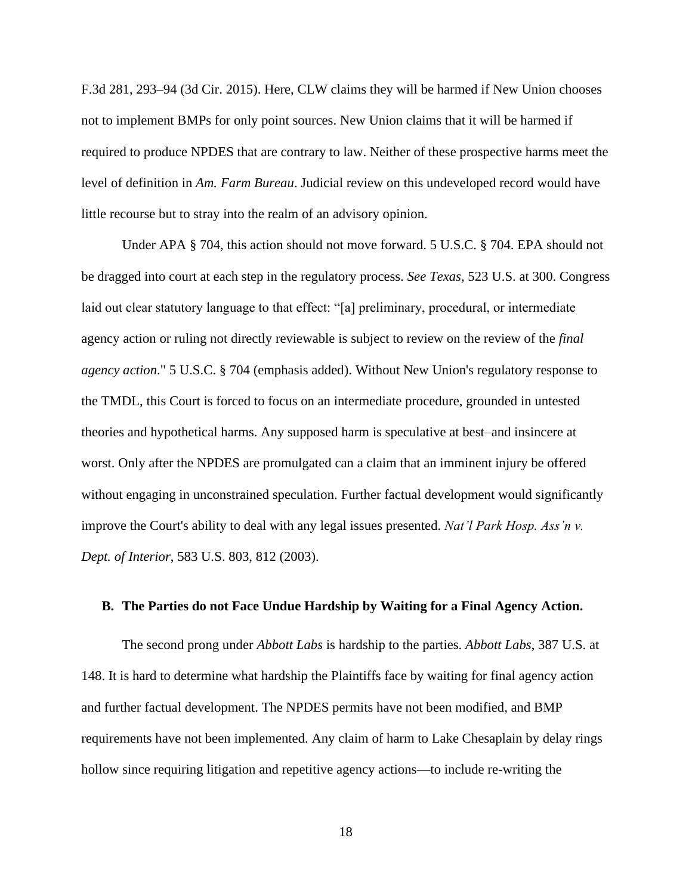F.3d 281, 293–94 (3d Cir. 2015). Here, CLW claims they will be harmed if New Union chooses not to implement BMPs for only point sources. New Union claims that it will be harmed if required to produce NPDES that are contrary to law. Neither of these prospective harms meet the level of definition in *Am. Farm Bureau*. Judicial review on this undeveloped record would have little recourse but to stray into the realm of an advisory opinion.

Under APA § 704, this action should not move forward. 5 U.S.C. § 704. EPA should not be dragged into court at each step in the regulatory process. *See Texas*, 523 U.S. at 300. Congress laid out clear statutory language to that effect: "[a] preliminary, procedural, or intermediate agency action or ruling not directly reviewable is subject to review on the review of the *final agency action*." 5 U.S.C. § 704 (emphasis added). Without New Union's regulatory response to the TMDL, this Court is forced to focus on an intermediate procedure, grounded in untested theories and hypothetical harms. Any supposed harm is speculative at best–and insincere at worst. Only after the NPDES are promulgated can a claim that an imminent injury be offered without engaging in unconstrained speculation. Further factual development would significantly improve the Court's ability to deal with any legal issues presented. *Nat'l Park Hosp. Ass'n v. Dept. of Interior*, 583 U.S. 803, 812 (2003).

#### <span id="page-24-0"></span>**B. The Parties do not Face Undue Hardship by Waiting for a Final Agency Action.**

The second prong under *Abbott Labs* is hardship to the parties. *Abbott Labs*, 387 U.S. at 148. It is hard to determine what hardship the Plaintiffs face by waiting for final agency action and further factual development. The NPDES permits have not been modified, and BMP requirements have not been implemented. Any claim of harm to Lake Chesaplain by delay rings hollow since requiring litigation and repetitive agency actions—to include re-writing the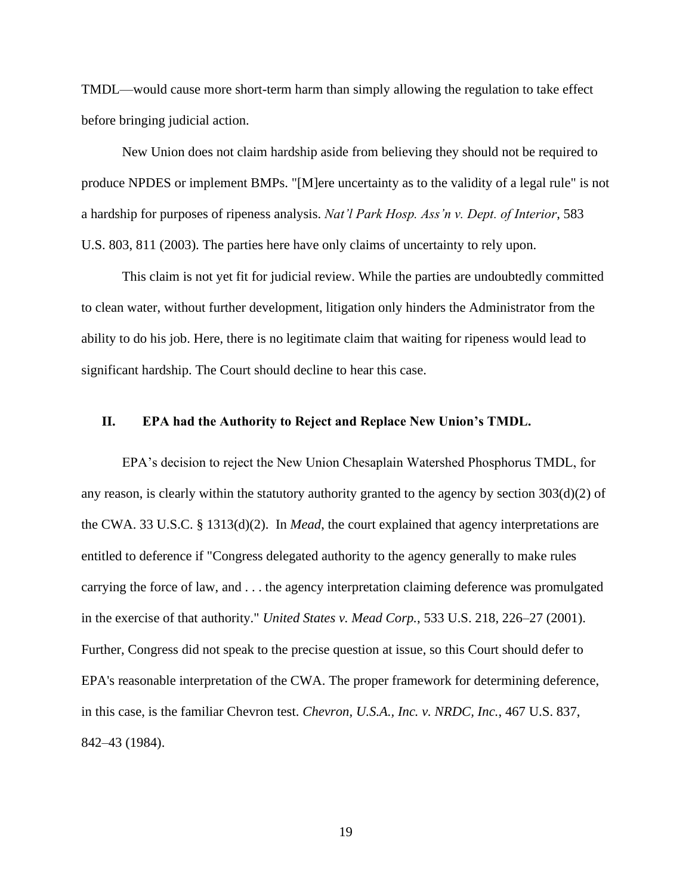TMDL—would cause more short-term harm than simply allowing the regulation to take effect before bringing judicial action.

New Union does not claim hardship aside from believing they should not be required to produce NPDES or implement BMPs. "[M]ere uncertainty as to the validity of a legal rule" is not a hardship for purposes of ripeness analysis. *Nat'l Park Hosp. Ass'n v. Dept. of Interior*, 583 U.S. 803, 811 (2003). The parties here have only claims of uncertainty to rely upon.

This claim is not yet fit for judicial review. While the parties are undoubtedly committed to clean water, without further development, litigation only hinders the Administrator from the ability to do his job. Here, there is no legitimate claim that waiting for ripeness would lead to significant hardship. The Court should decline to hear this case.

#### <span id="page-25-0"></span>**II. EPA had the Authority to Reject and Replace New Union's TMDL.**

EPA's decision to reject the New Union Chesaplain Watershed Phosphorus TMDL, for any reason, is clearly within the statutory authority granted to the agency by section 303(d)(2) of the CWA. 33 U.S.C. § 1313(d)(2). In *Mead*, the court explained that agency interpretations are entitled to deference if "Congress delegated authority to the agency generally to make rules carrying the force of law, and . . . the agency interpretation claiming deference was promulgated in the exercise of that authority." *United States v. Mead Corp.*, 533 U.S. 218, 226–27 (2001). Further, Congress did not speak to the precise question at issue, so this Court should defer to EPA's reasonable interpretation of the CWA. The proper framework for determining deference, in this case, is the familiar Chevron test. *Chevron, U.S.A., Inc. v. NRDC, Inc.*, 467 U.S. 837, 842–43 (1984).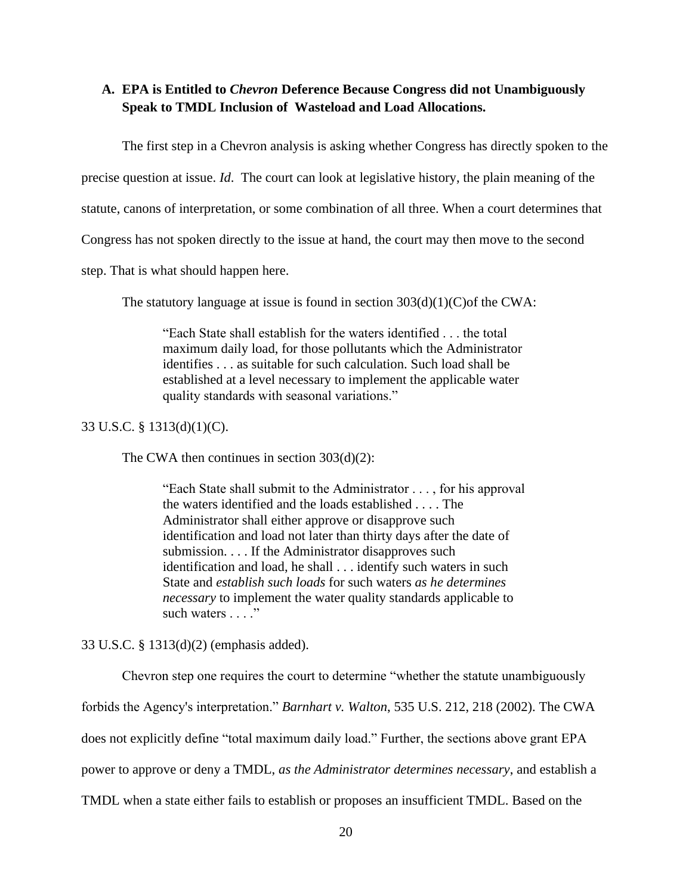## <span id="page-26-0"></span>**A. EPA is Entitled to** *Chevron* **Deference Because Congress did not Unambiguously Speak to TMDL Inclusion of Wasteload and Load Allocations.**

The first step in a Chevron analysis is asking whether Congress has directly spoken to the

precise question at issue. *Id*. The court can look at legislative history, the plain meaning of the

statute, canons of interpretation, or some combination of all three. When a court determines that

Congress has not spoken directly to the issue at hand, the court may then move to the second

step. That is what should happen here.

The statutory language at issue is found in section  $303(d)(1)(C)$  of the CWA:

"Each State shall establish for the waters identified . . . the total maximum daily load, for those pollutants which the Administrator identifies . . . as suitable for such calculation. Such load shall be established at a level necessary to implement the applicable water quality standards with seasonal variations."

33 U.S.C. § 1313(d)(1)(C).

The CWA then continues in section 303(d)(2):

"Each State shall submit to the Administrator . . . , for his approval the waters identified and the loads established . . . . The Administrator shall either approve or disapprove such identification and load not later than thirty days after the date of submission. . . . If the Administrator disapproves such identification and load, he shall . . . identify such waters in such State and *establish such loads* for such waters *as he determines necessary* to implement the water quality standards applicable to such waters . . . ."

33 U.S.C. § 1313(d)(2) (emphasis added).

Chevron step one requires the court to determine "whether the statute unambiguously forbids the Agency's interpretation." *Barnhart v. Walton*, 535 U.S. 212, 218 (2002). The CWA does not explicitly define "total maximum daily load." Further, the sections above grant EPA power to approve or deny a TMDL, *as the Administrator determines necessary*, and establish a TMDL when a state either fails to establish or proposes an insufficient TMDL. Based on the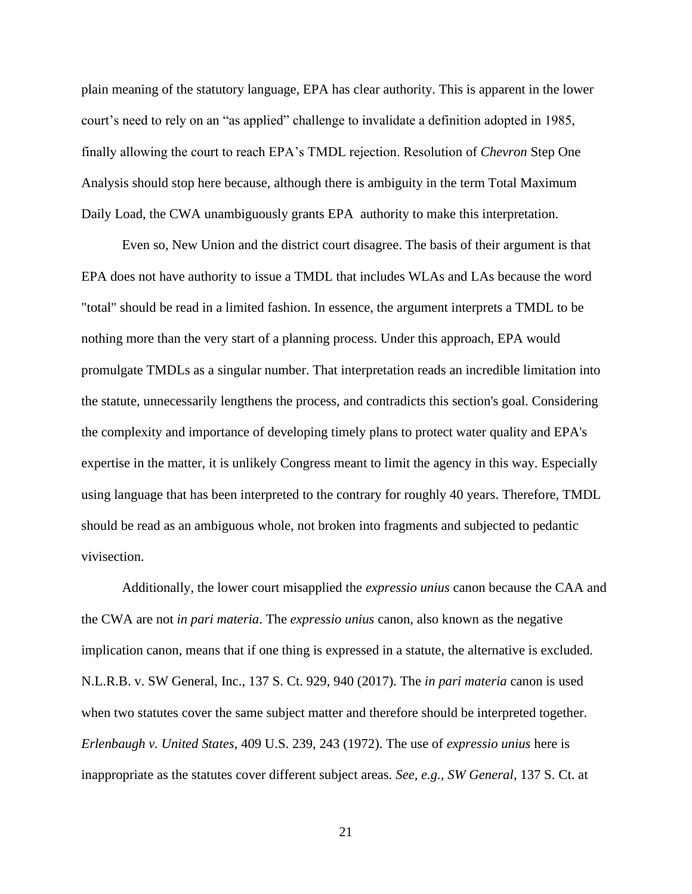plain meaning of the statutory language, EPA has clear authority. This is apparent in the lower court's need to rely on an "as applied" challenge to invalidate a definition adopted in 1985, finally allowing the court to reach EPA's TMDL rejection. Resolution of *Chevron* Step One Analysis should stop here because, although there is ambiguity in the term Total Maximum Daily Load, the CWA unambiguously grants EPA authority to make this interpretation.

Even so, New Union and the district court disagree. The basis of their argument is that EPA does not have authority to issue a TMDL that includes WLAs and LAs because the word "total" should be read in a limited fashion. In essence, the argument interprets a TMDL to be nothing more than the very start of a planning process. Under this approach, EPA would promulgate TMDLs as a singular number. That interpretation reads an incredible limitation into the statute, unnecessarily lengthens the process, and contradicts this section's goal. Considering the complexity and importance of developing timely plans to protect water quality and EPA's expertise in the matter, it is unlikely Congress meant to limit the agency in this way. Especially using language that has been interpreted to the contrary for roughly 40 years. Therefore, TMDL should be read as an ambiguous whole, not broken into fragments and subjected to pedantic vivisection.

Additionally, the lower court misapplied the *expressio unius* canon because the CAA and the CWA are not *in pari materia*. The *expressio unius* canon, also known as the negative implication canon, means that if one thing is expressed in a statute, the alternative is excluded. N.L.R.B. v. SW General, Inc., 137 S. Ct. 929, 940 (2017). The *in pari materia* canon is used when two statutes cover the same subject matter and therefore should be interpreted together. *Erlenbaugh v. United States*, 409 U.S. 239, 243 (1972). The use of *expressio unius* here is inappropriate as the statutes cover different subject areas. *See, e.g., SW General*, 137 S. Ct. at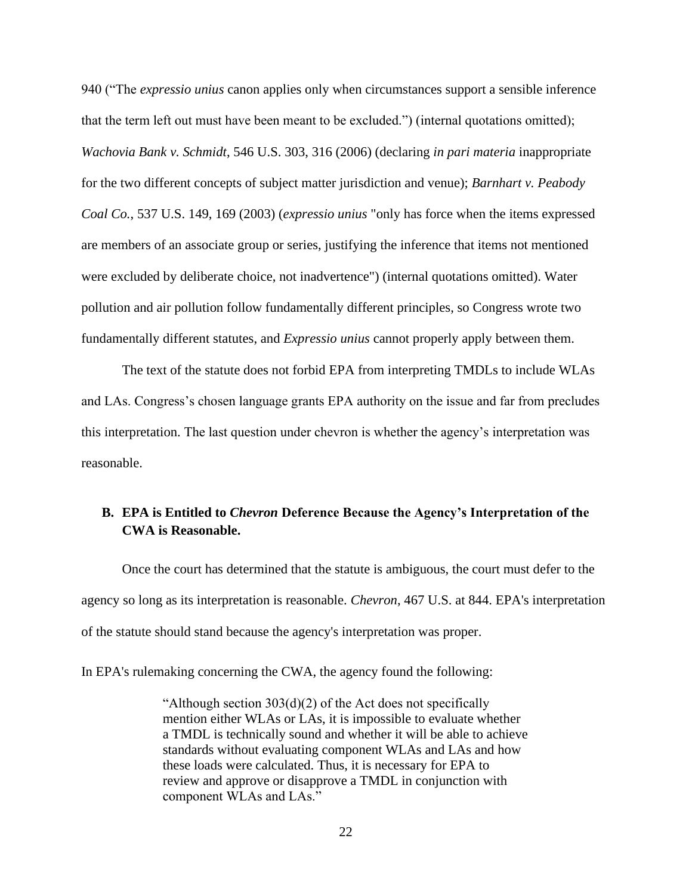940 ("The *expressio unius* canon applies only when circumstances support a sensible inference that the term left out must have been meant to be excluded.") (internal quotations omitted); *Wachovia Bank v. Schmidt*, 546 U.S. 303, 316 (2006) (declaring *in pari materia* inappropriate for the two different concepts of subject matter jurisdiction and venue); *Barnhart v. Peabody Coal Co.*, 537 U.S. 149, 169 (2003) (*expressio unius* "only has force when the items expressed are members of an associate group or series, justifying the inference that items not mentioned were excluded by deliberate choice, not inadvertence") (internal quotations omitted). Water pollution and air pollution follow fundamentally different principles, so Congress wrote two fundamentally different statutes, and *Expressio unius* cannot properly apply between them.

The text of the statute does not forbid EPA from interpreting TMDLs to include WLAs and LAs. Congress's chosen language grants EPA authority on the issue and far from precludes this interpretation. The last question under chevron is whether the agency's interpretation was reasonable.

## <span id="page-28-0"></span>**B. EPA is Entitled to** *Chevron* **Deference Because the Agency's Interpretation of the CWA is Reasonable.**

Once the court has determined that the statute is ambiguous, the court must defer to the agency so long as its interpretation is reasonable. *Chevron*, 467 U.S. at 844. EPA's interpretation of the statute should stand because the agency's interpretation was proper.

In EPA's rulemaking concerning the CWA, the agency found the following:

"Although section  $303(d)(2)$  of the Act does not specifically mention either WLAs or LAs, it is impossible to evaluate whether a TMDL is technically sound and whether it will be able to achieve standards without evaluating component WLAs and LAs and how these loads were calculated. Thus, it is necessary for EPA to review and approve or disapprove a TMDL in conjunction with component WLAs and LAs."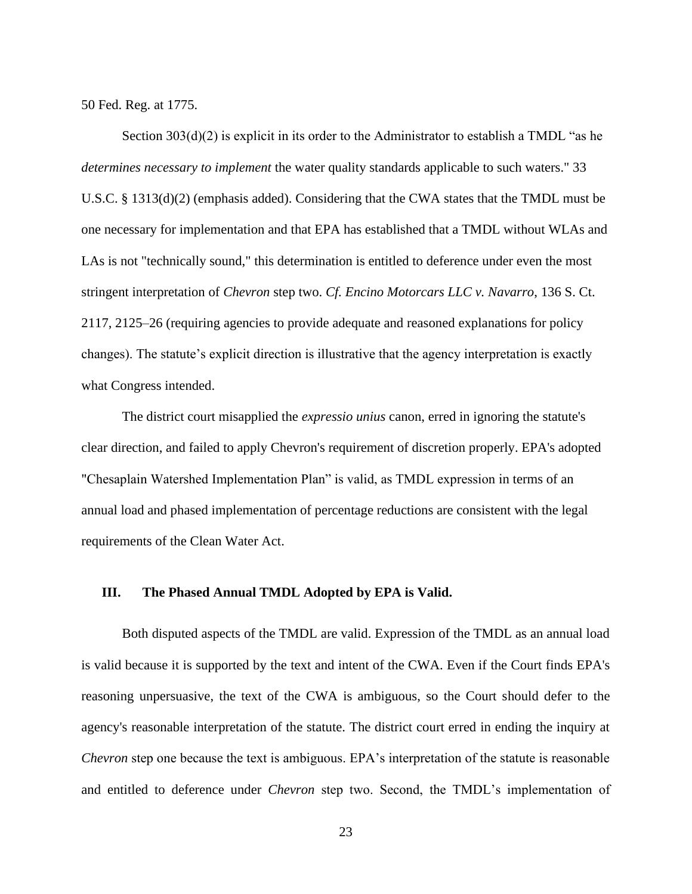50 Fed. Reg. at 1775.

Section 303(d)(2) is explicit in its order to the Administrator to establish a TMDL "as he *determines necessary to implement* the water quality standards applicable to such waters." 33 U.S.C. § 1313(d)(2) (emphasis added). Considering that the CWA states that the TMDL must be one necessary for implementation and that EPA has established that a TMDL without WLAs and LAs is not "technically sound," this determination is entitled to deference under even the most stringent interpretation of *Chevron* step two. *Cf. Encino Motorcars LLC v. Navarro*, 136 S. Ct. 2117, 2125–26 (requiring agencies to provide adequate and reasoned explanations for policy changes). The statute's explicit direction is illustrative that the agency interpretation is exactly what Congress intended.

The district court misapplied the *expressio unius* canon, erred in ignoring the statute's clear direction, and failed to apply Chevron's requirement of discretion properly. EPA's adopted "Chesaplain Watershed Implementation Plan" is valid, as TMDL expression in terms of an annual load and phased implementation of percentage reductions are consistent with the legal requirements of the Clean Water Act.

#### <span id="page-29-0"></span>**III. The Phased Annual TMDL Adopted by EPA is Valid.**

Both disputed aspects of the TMDL are valid. Expression of the TMDL as an annual load is valid because it is supported by the text and intent of the CWA. Even if the Court finds EPA's reasoning unpersuasive, the text of the CWA is ambiguous, so the Court should defer to the agency's reasonable interpretation of the statute. The district court erred in ending the inquiry at *Chevron* step one because the text is ambiguous. EPA's interpretation of the statute is reasonable and entitled to deference under *Chevron* step two. Second, the TMDL's implementation of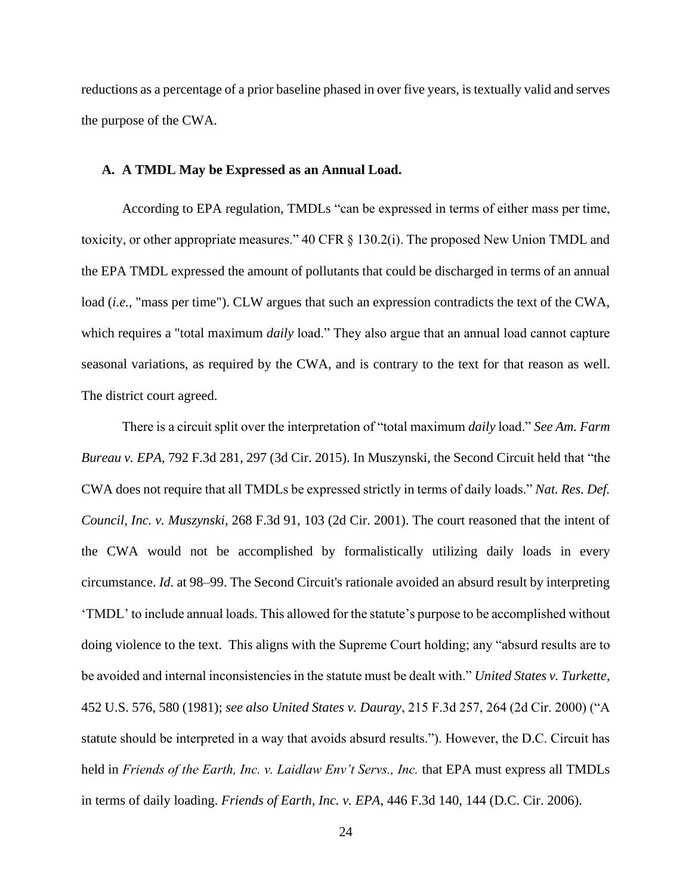reductions as a percentage of a prior baseline phased in over five years, is textually valid and serves the purpose of the CWA.

### <span id="page-30-0"></span>**A. A TMDL May be Expressed as an Annual Load.**

According to EPA regulation, TMDLs "can be expressed in terms of either mass per time, toxicity, or other appropriate measures." 40 CFR § 130.2(i). The proposed New Union TMDL and the EPA TMDL expressed the amount of pollutants that could be discharged in terms of an annual load (*i.e.,* "mass per time"). CLW argues that such an expression contradicts the text of the CWA, which requires a "total maximum *daily* load." They also argue that an annual load cannot capture seasonal variations, as required by the CWA, and is contrary to the text for that reason as well. The district court agreed.

There is a circuit split over the interpretation of "total maximum *daily* load." *See Am. Farm Bureau v. EPA*, 792 F.3d 281, 297 (3d Cir. 2015). In Muszynski, the Second Circuit held that "the CWA does not require that all TMDLs be expressed strictly in terms of daily loads." *Nat. Res. Def. Council, Inc. v. Muszynski*, 268 F.3d 91, 103 (2d Cir. 2001). The court reasoned that the intent of the CWA would not be accomplished by formalistically utilizing daily loads in every circumstance. *Id*. at 98–99. The Second Circuit's rationale avoided an absurd result by interpreting 'TMDL' to include annual loads. This allowed for the statute's purpose to be accomplished without doing violence to the text. This aligns with the Supreme Court holding; any "absurd results are to be avoided and internal inconsistencies in the statute must be dealt with." *United States v. Turkette*, 452 U.S. 576, 580 (1981); *see also United States v. Dauray*, 215 F.3d 257, 264 (2d Cir. 2000) ("A statute should be interpreted in a way that avoids absurd results."). However, the D.C. Circuit has held in *Friends of the Earth, Inc. v. Laidlaw Env't Servs., Inc.* that EPA must express all TMDLs in terms of daily loading. *Friends of Earth, Inc. v. EPA*, 446 F.3d 140, 144 (D.C. Cir. 2006).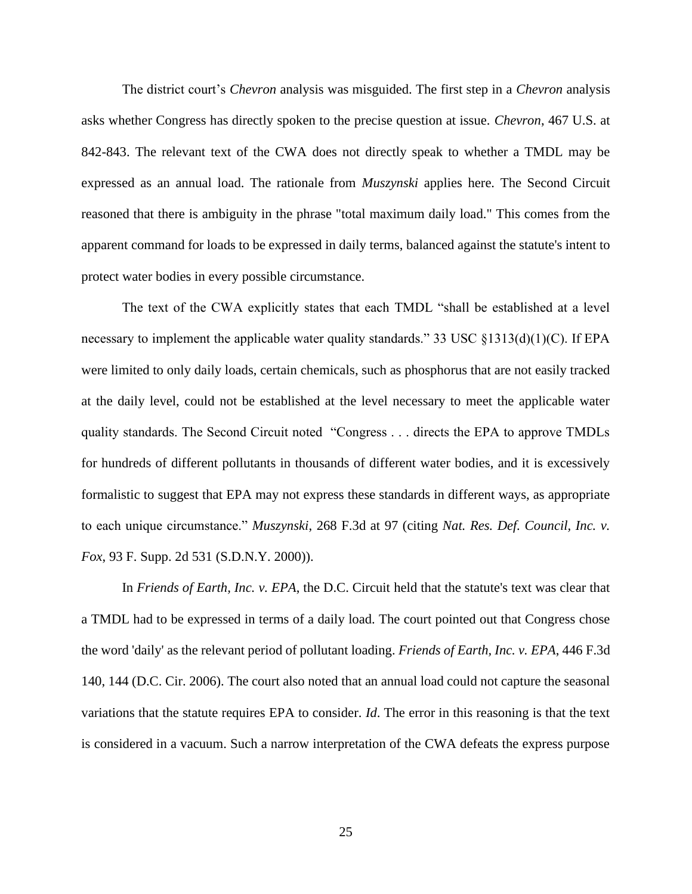The district court's *Chevron* analysis was misguided. The first step in a *Chevron* analysis asks whether Congress has directly spoken to the precise question at issue. *Chevron*, 467 U.S. at 842-843. The relevant text of the CWA does not directly speak to whether a TMDL may be expressed as an annual load. The rationale from *Muszynski* applies here. The Second Circuit reasoned that there is ambiguity in the phrase "total maximum daily load." This comes from the apparent command for loads to be expressed in daily terms, balanced against the statute's intent to protect water bodies in every possible circumstance.

The text of the CWA explicitly states that each TMDL "shall be established at a level necessary to implement the applicable water quality standards." 33 USC §1313(d)(1)(C). If EPA were limited to only daily loads, certain chemicals, such as phosphorus that are not easily tracked at the daily level, could not be established at the level necessary to meet the applicable water quality standards. The Second Circuit noted "Congress . . . directs the EPA to approve TMDLs for hundreds of different pollutants in thousands of different water bodies, and it is excessively formalistic to suggest that EPA may not express these standards in different ways, as appropriate to each unique circumstance." *Muszynski*, 268 F.3d at 97 (citing *Nat. Res. Def. Council, Inc. v. Fox*, 93 F. Supp. 2d 531 (S.D.N.Y. 2000)).

In *Friends of Earth, Inc. v. EPA*, the D.C. Circuit held that the statute's text was clear that a TMDL had to be expressed in terms of a daily load. The court pointed out that Congress chose the word 'daily' as the relevant period of pollutant loading. *Friends of Earth, Inc. v. EPA*, 446 F.3d 140, 144 (D.C. Cir. 2006). The court also noted that an annual load could not capture the seasonal variations that the statute requires EPA to consider. *Id*. The error in this reasoning is that the text is considered in a vacuum. Such a narrow interpretation of the CWA defeats the express purpose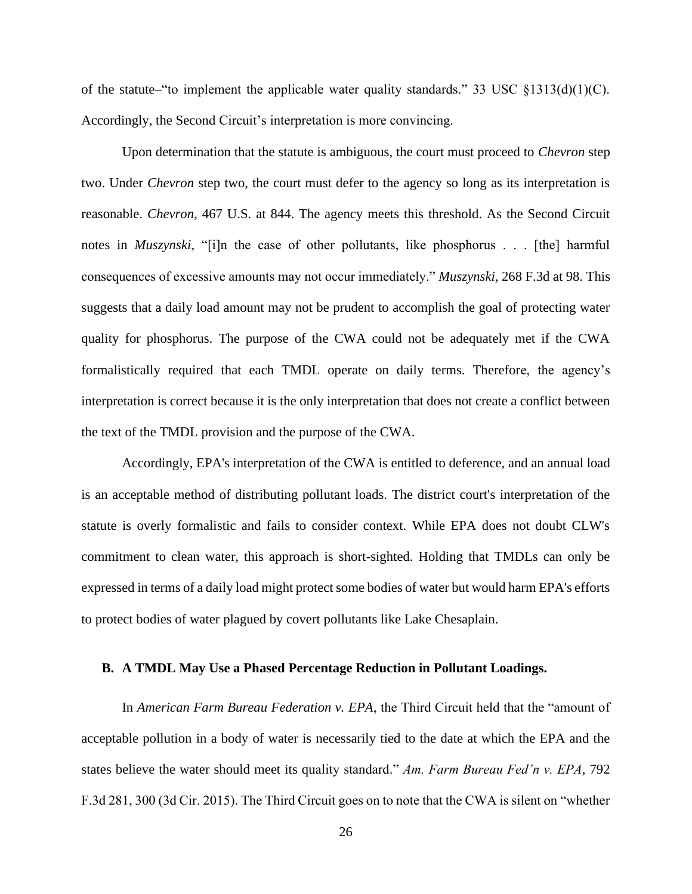of the statute–"to implement the applicable water quality standards." 33 USC  $\S 1313(d)(1)(C)$ . Accordingly, the Second Circuit's interpretation is more convincing.

Upon determination that the statute is ambiguous, the court must proceed to *Chevron* step two. Under *Chevron* step two, the court must defer to the agency so long as its interpretation is reasonable. *Chevron*, 467 U.S. at 844. The agency meets this threshold. As the Second Circuit notes in *Muszynski*, "[i]n the case of other pollutants, like phosphorus . . . [the] harmful consequences of excessive amounts may not occur immediately." *Muszynski*, 268 F.3d at 98. This suggests that a daily load amount may not be prudent to accomplish the goal of protecting water quality for phosphorus. The purpose of the CWA could not be adequately met if the CWA formalistically required that each TMDL operate on daily terms. Therefore, the agency's interpretation is correct because it is the only interpretation that does not create a conflict between the text of the TMDL provision and the purpose of the CWA.

Accordingly, EPA's interpretation of the CWA is entitled to deference, and an annual load is an acceptable method of distributing pollutant loads. The district court's interpretation of the statute is overly formalistic and fails to consider context. While EPA does not doubt CLW's commitment to clean water, this approach is short-sighted. Holding that TMDLs can only be expressed in terms of a daily load might protect some bodies of water but would harm EPA's efforts to protect bodies of water plagued by covert pollutants like Lake Chesaplain.

#### <span id="page-32-0"></span>**B. A TMDL May Use a Phased Percentage Reduction in Pollutant Loadings.**

In *American Farm Bureau Federation v. EPA*, the Third Circuit held that the "amount of acceptable pollution in a body of water is necessarily tied to the date at which the EPA and the states believe the water should meet its quality standard." *Am. Farm Bureau Fed'n v. EPA*, 792 F.3d 281, 300 (3d Cir. 2015). The Third Circuit goes on to note that the CWA is silent on "whether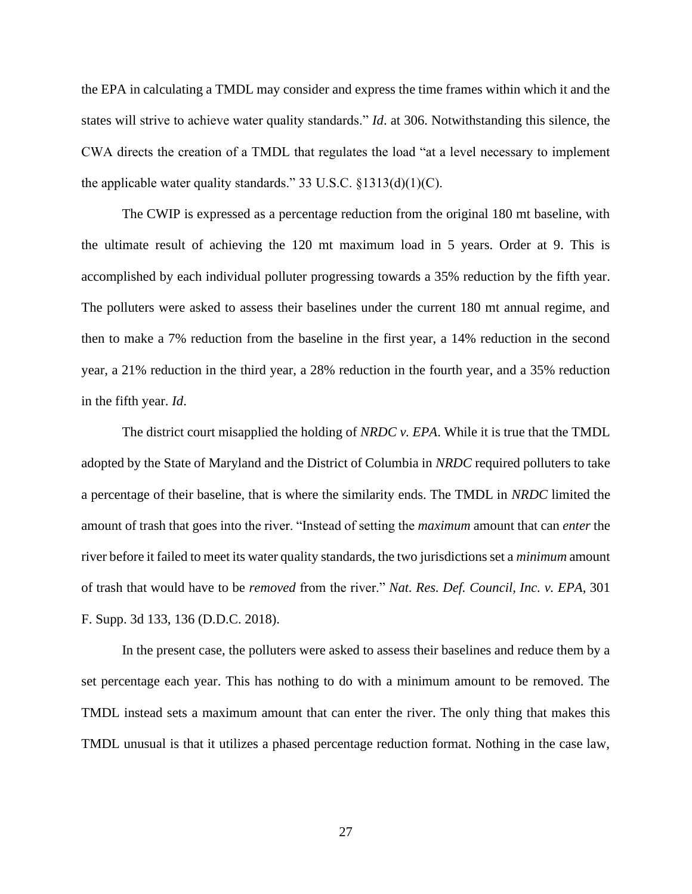the EPA in calculating a TMDL may consider and express the time frames within which it and the states will strive to achieve water quality standards." *Id*. at 306. Notwithstanding this silence, the CWA directs the creation of a TMDL that regulates the load "at a level necessary to implement the applicable water quality standards." 33 U.S.C.  $\S$ 1313(d)(1)(C).

The CWIP is expressed as a percentage reduction from the original 180 mt baseline, with the ultimate result of achieving the 120 mt maximum load in 5 years. Order at 9. This is accomplished by each individual polluter progressing towards a 35% reduction by the fifth year. The polluters were asked to assess their baselines under the current 180 mt annual regime, and then to make a 7% reduction from the baseline in the first year, a 14% reduction in the second year, a 21% reduction in the third year, a 28% reduction in the fourth year, and a 35% reduction in the fifth year. *Id*.

The district court misapplied the holding of *NRDC v. EPA*. While it is true that the TMDL adopted by the State of Maryland and the District of Columbia in *NRDC* required polluters to take a percentage of their baseline, that is where the similarity ends. The TMDL in *NRDC* limited the amount of trash that goes into the river. "Instead of setting the *maximum* amount that can *enter* the river before it failed to meet its water quality standards, the two jurisdictions set a *minimum* amount of trash that would have to be *removed* from the river." *Nat. Res. Def. Council, Inc. v. EPA*, 301 F. Supp. 3d 133, 136 (D.D.C. 2018).

In the present case, the polluters were asked to assess their baselines and reduce them by a set percentage each year. This has nothing to do with a minimum amount to be removed. The TMDL instead sets a maximum amount that can enter the river. The only thing that makes this TMDL unusual is that it utilizes a phased percentage reduction format. Nothing in the case law,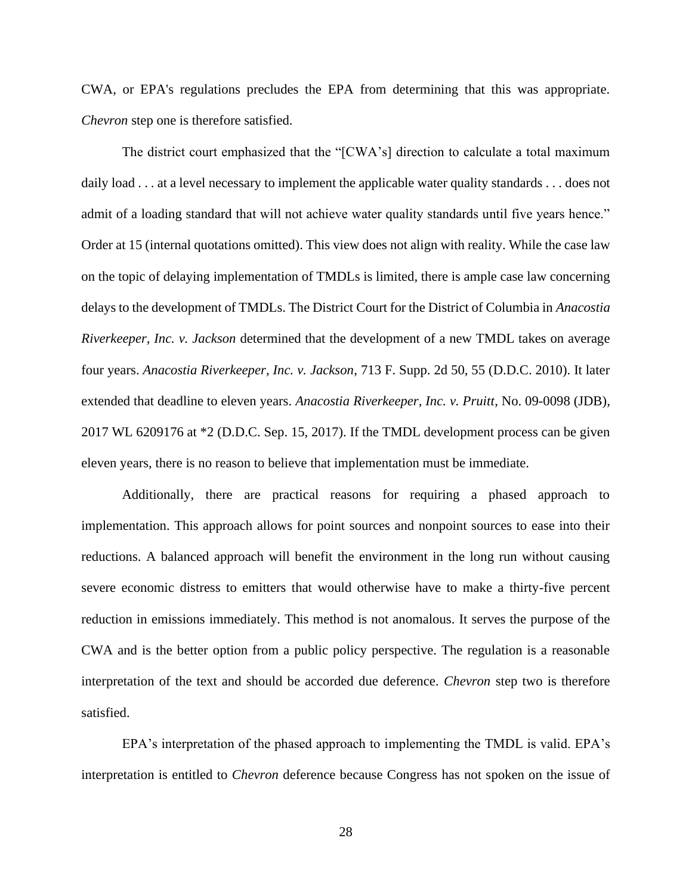CWA, or EPA's regulations precludes the EPA from determining that this was appropriate. *Chevron* step one is therefore satisfied.

The district court emphasized that the "[CWA's] direction to calculate a total maximum daily load . . . at a level necessary to implement the applicable water quality standards . . . does not admit of a loading standard that will not achieve water quality standards until five years hence." Order at 15 (internal quotations omitted). This view does not align with reality. While the case law on the topic of delaying implementation of TMDLs is limited, there is ample case law concerning delays to the development of TMDLs. The District Court for the District of Columbia in *Anacostia Riverkeeper, Inc. v. Jackson* determined that the development of a new TMDL takes on average four years. *Anacostia Riverkeeper, Inc. v. Jackson*, 713 F. Supp. 2d 50, 55 (D.D.C. 2010). It later extended that deadline to eleven years. *Anacostia Riverkeeper, Inc. v. Pruitt*, No. 09-0098 (JDB), 2017 WL 6209176 at \*2 (D.D.C. Sep. 15, 2017). If the TMDL development process can be given eleven years, there is no reason to believe that implementation must be immediate.

Additionally, there are practical reasons for requiring a phased approach to implementation. This approach allows for point sources and nonpoint sources to ease into their reductions. A balanced approach will benefit the environment in the long run without causing severe economic distress to emitters that would otherwise have to make a thirty-five percent reduction in emissions immediately. This method is not anomalous. It serves the purpose of the CWA and is the better option from a public policy perspective. The regulation is a reasonable interpretation of the text and should be accorded due deference. *Chevron* step two is therefore satisfied.

EPA's interpretation of the phased approach to implementing the TMDL is valid. EPA's interpretation is entitled to *Chevron* deference because Congress has not spoken on the issue of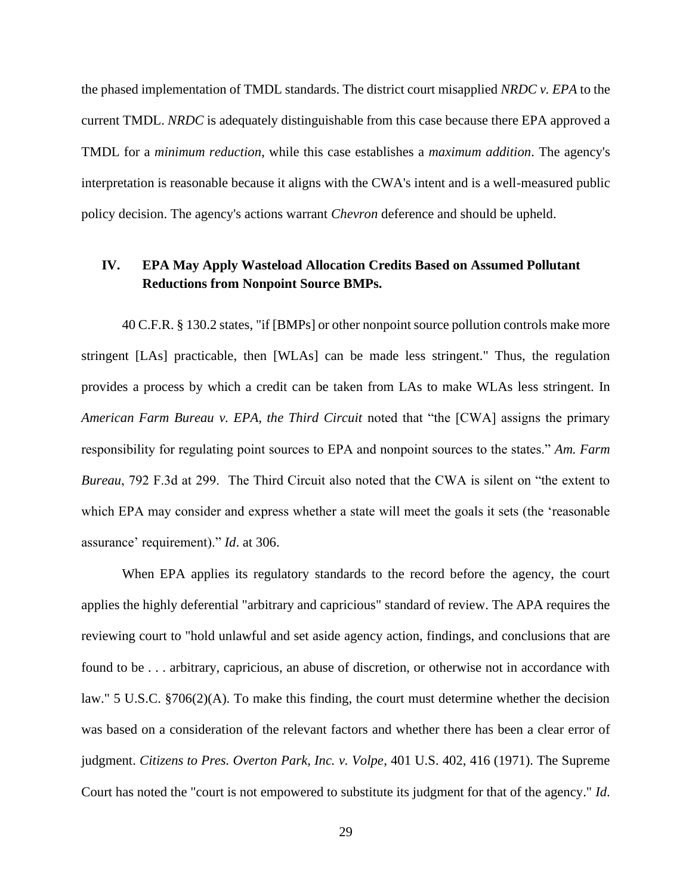the phased implementation of TMDL standards. The district court misapplied *NRDC v. EPA* to the current TMDL. *NRDC* is adequately distinguishable from this case because there EPA approved a TMDL for a *minimum reduction*, while this case establishes a *maximum addition*. The agency's interpretation is reasonable because it aligns with the CWA's intent and is a well-measured public policy decision. The agency's actions warrant *Chevron* deference and should be upheld.

## <span id="page-35-0"></span>**IV. EPA May Apply Wasteload Allocation Credits Based on Assumed Pollutant Reductions from Nonpoint Source BMPs.**

40 C.F.R. § 130.2 states, "if [BMPs] or other nonpoint source pollution controls make more stringent [LAs] practicable, then [WLAs] can be made less stringent." Thus, the regulation provides a process by which a credit can be taken from LAs to make WLAs less stringent. In *American Farm Bureau v. EPA, the Third Circuit noted that "the [CWA] assigns the primary* responsibility for regulating point sources to EPA and nonpoint sources to the states." *Am. Farm Bureau*, 792 F.3d at 299. The Third Circuit also noted that the CWA is silent on "the extent to which EPA may consider and express whether a state will meet the goals it sets (the 'reasonable assurance' requirement)." *Id*. at 306.

When EPA applies its regulatory standards to the record before the agency, the court applies the highly deferential "arbitrary and capricious" standard of review. The APA requires the reviewing court to "hold unlawful and set aside agency action, findings, and conclusions that are found to be . . . arbitrary, capricious, an abuse of discretion, or otherwise not in accordance with law." 5 U.S.C. §706(2)(A). To make this finding, the court must determine whether the decision was based on a consideration of the relevant factors and whether there has been a clear error of judgment. *Citizens to Pres. Overton Park, Inc. v. Volpe*, 401 U.S. 402, 416 (1971). The Supreme Court has noted the "court is not empowered to substitute its judgment for that of the agency." *Id*.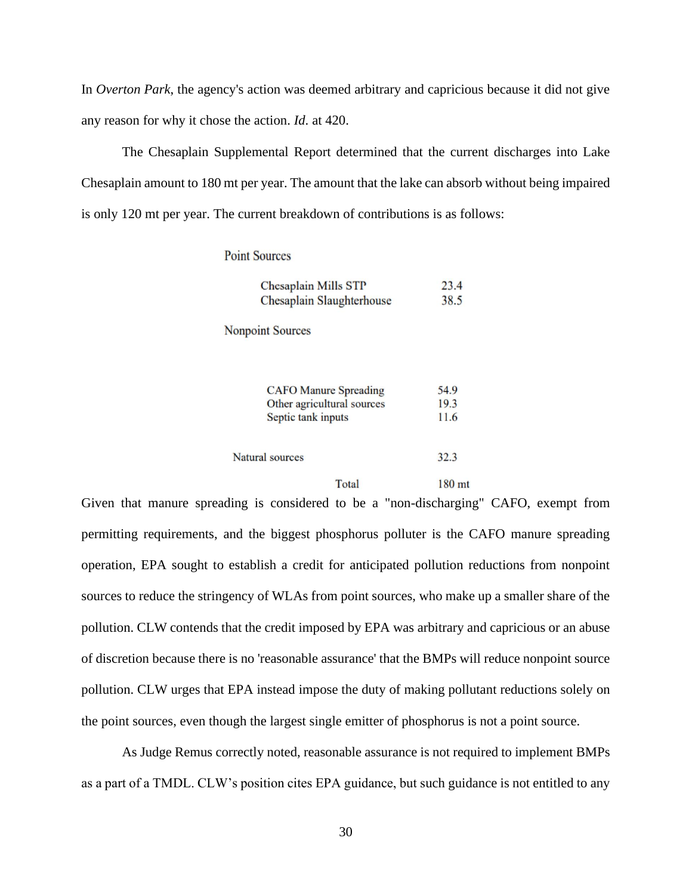In *Overton Park*, the agency's action was deemed arbitrary and capricious because it did not give any reason for why it chose the action. *Id*. at 420.

The Chesaplain Supplemental Report determined that the current discharges into Lake Chesaplain amount to 180 mt per year. The amount that the lake can absorb without being impaired is only 120 mt per year. The current breakdown of contributions is as follows:

### **Point Sources**

| Chesaplain Mills STP                             | 23.4         |
|--------------------------------------------------|--------------|
| Chesaplain Slaughterhouse                        | 38.5         |
| <b>Nonpoint Sources</b>                          |              |
| <b>CAFO</b> Manure Spreading                     | 54.9         |
| Other agricultural sources<br>Septic tank inputs | 19.3<br>11.6 |
| Natural sources                                  | 32.3         |
| Total                                            | 180 mt       |

Given that manure spreading is considered to be a "non-discharging" CAFO, exempt from permitting requirements, and the biggest phosphorus polluter is the CAFO manure spreading operation, EPA sought to establish a credit for anticipated pollution reductions from nonpoint sources to reduce the stringency of WLAs from point sources, who make up a smaller share of the pollution. CLW contends that the credit imposed by EPA was arbitrary and capricious or an abuse of discretion because there is no 'reasonable assurance' that the BMPs will reduce nonpoint source pollution. CLW urges that EPA instead impose the duty of making pollutant reductions solely on the point sources, even though the largest single emitter of phosphorus is not a point source.

As Judge Remus correctly noted, reasonable assurance is not required to implement BMPs as a part of a TMDL. CLW's position cites EPA guidance, but such guidance is not entitled to any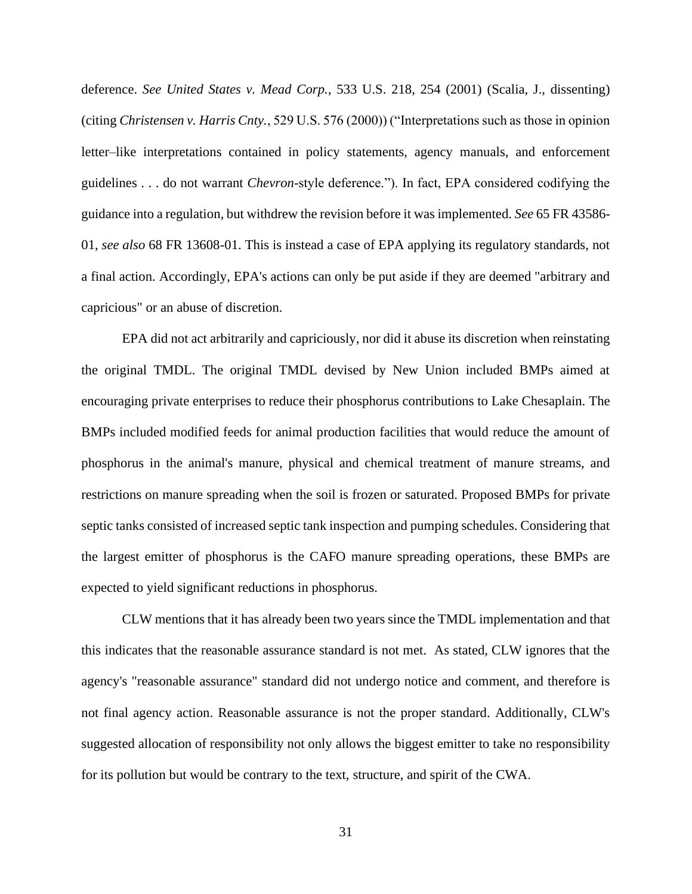deference. *See United States v. Mead Corp.*, 533 U.S. 218, 254 (2001) (Scalia, J., dissenting) (citing *Christensen v. Harris Cnty.*, 529 U.S. 576 (2000)) ("Interpretations such as those in opinion letter–like interpretations contained in policy statements, agency manuals, and enforcement guidelines . . . do not warrant *Chevron*-style deference."). In fact, EPA considered codifying the guidance into a regulation, but withdrew the revision before it was implemented. *See* 65 FR 43586- 01, *see also* 68 FR 13608-01. This is instead a case of EPA applying its regulatory standards, not a final action. Accordingly, EPA's actions can only be put aside if they are deemed "arbitrary and capricious" or an abuse of discretion.

EPA did not act arbitrarily and capriciously, nor did it abuse its discretion when reinstating the original TMDL. The original TMDL devised by New Union included BMPs aimed at encouraging private enterprises to reduce their phosphorus contributions to Lake Chesaplain. The BMPs included modified feeds for animal production facilities that would reduce the amount of phosphorus in the animal's manure, physical and chemical treatment of manure streams, and restrictions on manure spreading when the soil is frozen or saturated. Proposed BMPs for private septic tanks consisted of increased septic tank inspection and pumping schedules. Considering that the largest emitter of phosphorus is the CAFO manure spreading operations, these BMPs are expected to yield significant reductions in phosphorus.

CLW mentions that it has already been two years since the TMDL implementation and that this indicates that the reasonable assurance standard is not met. As stated, CLW ignores that the agency's "reasonable assurance" standard did not undergo notice and comment, and therefore is not final agency action. Reasonable assurance is not the proper standard. Additionally, CLW's suggested allocation of responsibility not only allows the biggest emitter to take no responsibility for its pollution but would be contrary to the text, structure, and spirit of the CWA.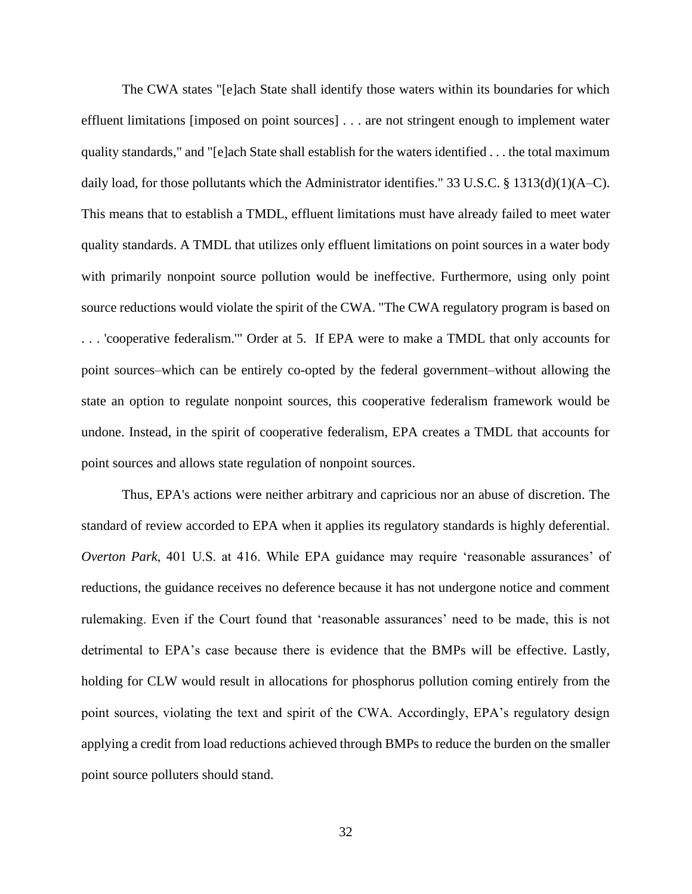The CWA states "[e]ach State shall identify those waters within its boundaries for which effluent limitations [imposed on point sources] . . . are not stringent enough to implement water quality standards," and "[e]ach State shall establish for the waters identified . . . the total maximum daily load, for those pollutants which the Administrator identifies." 33 U.S.C. § 1313(d)(1)(A–C). This means that to establish a TMDL, effluent limitations must have already failed to meet water quality standards. A TMDL that utilizes only effluent limitations on point sources in a water body with primarily nonpoint source pollution would be ineffective. Furthermore, using only point source reductions would violate the spirit of the CWA. "The CWA regulatory program is based on . . . 'cooperative federalism.'" Order at 5. If EPA were to make a TMDL that only accounts for point sources–which can be entirely co-opted by the federal government–without allowing the state an option to regulate nonpoint sources, this cooperative federalism framework would be undone. Instead, in the spirit of cooperative federalism, EPA creates a TMDL that accounts for point sources and allows state regulation of nonpoint sources.

Thus, EPA's actions were neither arbitrary and capricious nor an abuse of discretion. The standard of review accorded to EPA when it applies its regulatory standards is highly deferential. *Overton Park*, 401 U.S. at 416. While EPA guidance may require 'reasonable assurances' of reductions, the guidance receives no deference because it has not undergone notice and comment rulemaking. Even if the Court found that 'reasonable assurances' need to be made, this is not detrimental to EPA's case because there is evidence that the BMPs will be effective. Lastly, holding for CLW would result in allocations for phosphorus pollution coming entirely from the point sources, violating the text and spirit of the CWA. Accordingly, EPA's regulatory design applying a credit from load reductions achieved through BMPs to reduce the burden on the smaller point source polluters should stand.